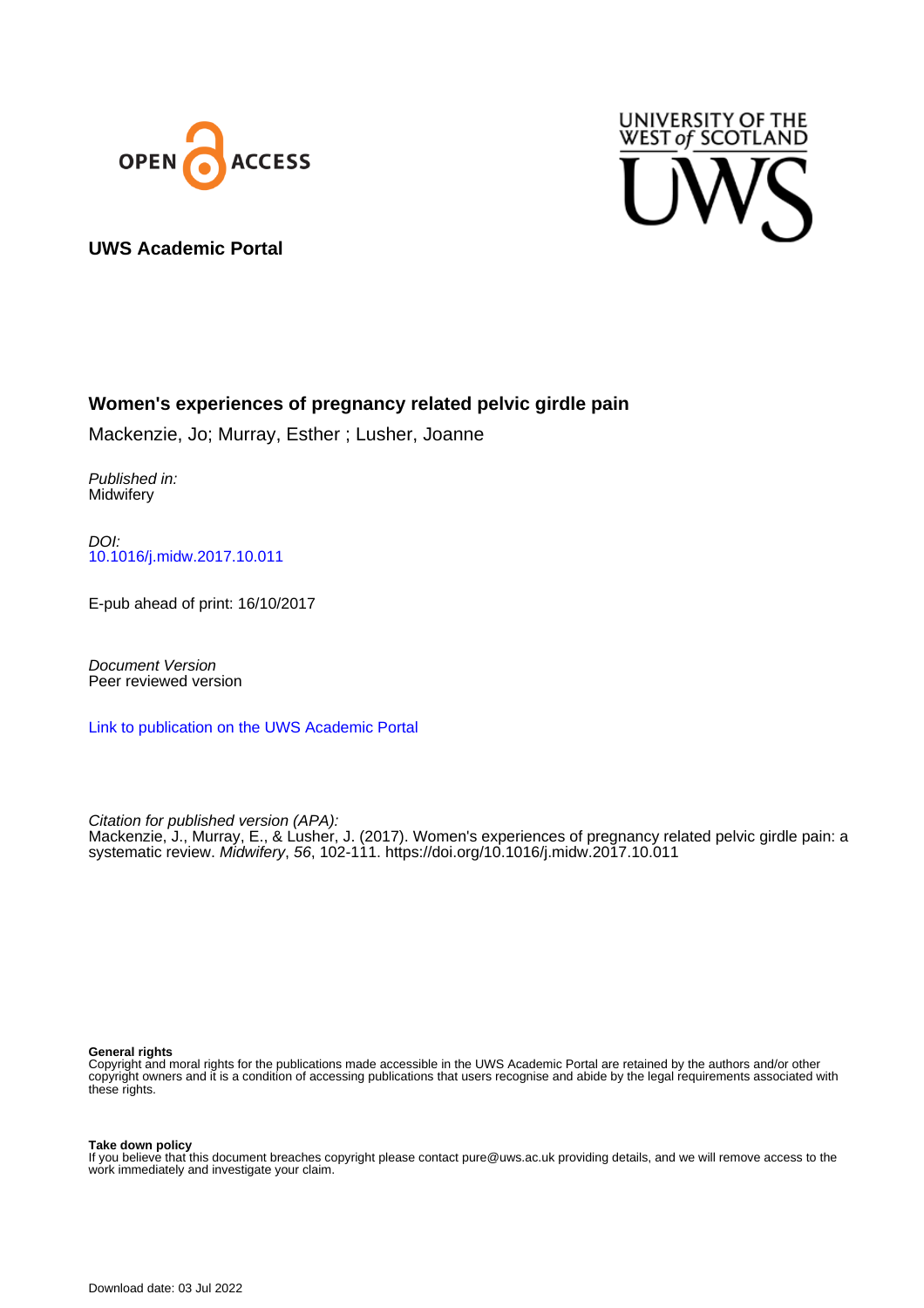



### **UWS Academic Portal**

## **Women's experiences of pregnancy related pelvic girdle pain**

Mackenzie, Jo; Murray, Esther ; Lusher, Joanne

Published in: **Midwifery** 

DOI: [10.1016/j.midw.2017.10.011](https://doi.org/10.1016/j.midw.2017.10.011)

E-pub ahead of print: 16/10/2017

Document Version Peer reviewed version

[Link to publication on the UWS Academic Portal](https://uws.pure.elsevier.com/en/publications/414fda23-d151-4d0b-804f-2e7908386443)

Citation for published version (APA): Mackenzie, J., Murray, E., & Lusher, J. (2017). Women's experiences of pregnancy related pelvic girdle pain: a systematic review. Midwifery, 56, 102-111.<https://doi.org/10.1016/j.midw.2017.10.011>

#### **General rights**

Copyright and moral rights for the publications made accessible in the UWS Academic Portal are retained by the authors and/or other copyright owners and it is a condition of accessing publications that users recognise and abide by the legal requirements associated with these rights.

#### **Take down policy**

If you believe that this document breaches copyright please contact pure@uws.ac.uk providing details, and we will remove access to the work immediately and investigate your claim.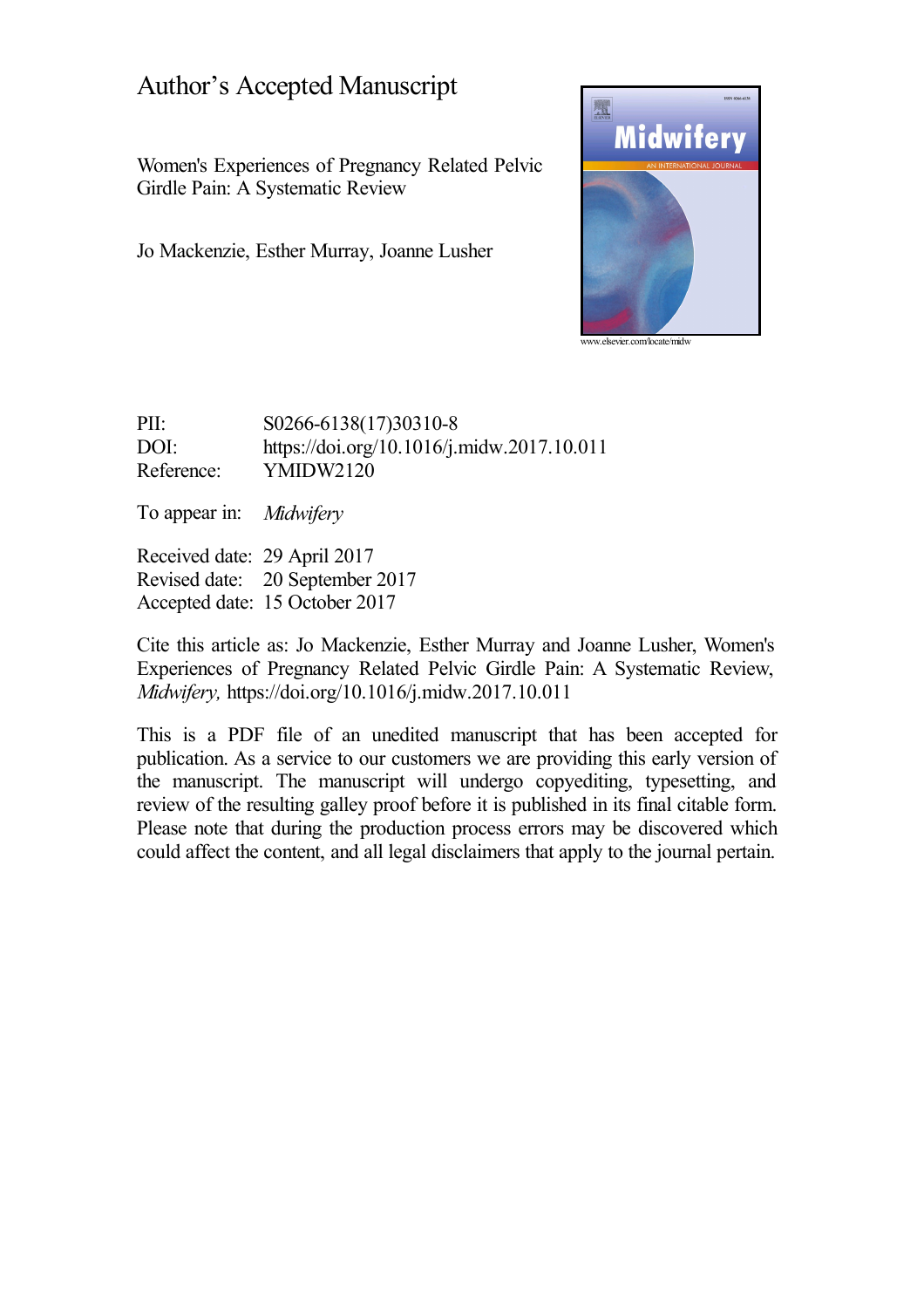# Author's Accepted Manuscript

Women's Experiences of Pregnancy Related Pelvic Girdle Pain: A Systematic Review

Jo Mackenzie, Esther Murray, Joanne Lusher



[www.elsevier.com/locate/midw](http://www.elsevier.com/locate/midw)

PII: S0266-6138(17)30310-8 DOI: <https://doi.org/10.1016/j.midw.2017.10.011> Reference: YMIDW2120

To appear in: *Midwifery*

Received date: 29 April 2017 Revised date: 20 September 2017 Accepted date: 15 October 2017

Cite this article as: Jo Mackenzie, Esther Murray and Joanne Lusher, Women's Experiences of Pregnancy Related Pelvic Girdle Pain: A Systematic Review, *Midwifery,* <https://doi.org/10.1016/j.midw.2017.10.011>

This is a PDF file of an unedited manuscript that has been accepted for publication. As a service to our customers we are providing this early version of the manuscript. The manuscript will undergo copyediting, typesetting, and review of the resulting galley proof before it is published in its final citable form. Please note that during the production process errors may be discovered which could affect the content, and all legal disclaimers that apply to the journal pertain.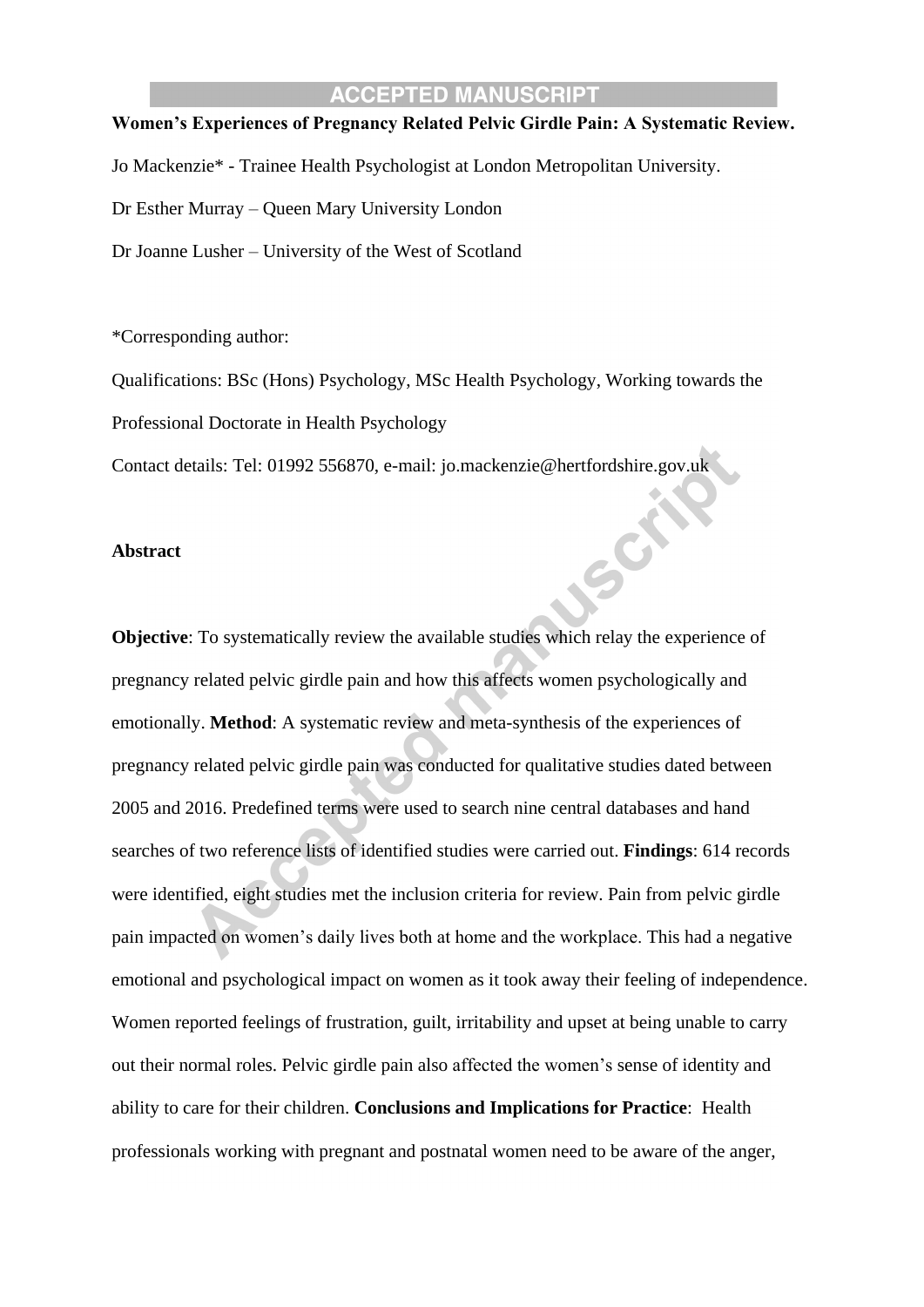### **Women's Experiences of Pregnancy Related Pelvic Girdle Pain: A Systematic Review.**

Jo Mackenzie\* - Trainee Health Psychologist at London Metropolitan University.

Dr Esther Murray – Queen Mary University London

Dr Joanne Lusher – University of the West of Scotland

\*Corresponding author:

Qualifications: BSc (Hons) Psychology, MSc Health Psychology, Working towards the

SOF

Professional Doctorate in Health Psychology

Contact details: Tel: 01992 556870, e-mail: jo.mackenzie@hertfordshire.gov.uk

#### **Abstract**

**Objective**: To systematically review the available studies which relay the experience of pregnancy related pelvic girdle pain and how this affects women psychologically and emotionally. **Method**: A systematic review and meta-synthesis of the experiences of pregnancy related pelvic girdle pain was conducted for qualitative studies dated between 2005 and 2016. Predefined terms were used to search nine central databases and hand searches of two reference lists of identified studies were carried out. **Findings**: 614 records were identified, eight studies met the inclusion criteria for review. Pain from pelvic girdle pain impacted on women's daily lives both at home and the workplace. This had a negative emotional and psychological impact on women as it took away their feeling of independence. Women reported feelings of frustration, guilt, irritability and upset at being unable to carry out their normal roles. Pelvic girdle pain also affected the women's sense of identity and ability to care for their children. **Conclusions and Implications for Practice**: Health professionals working with pregnant and postnatal women need to be aware of the anger,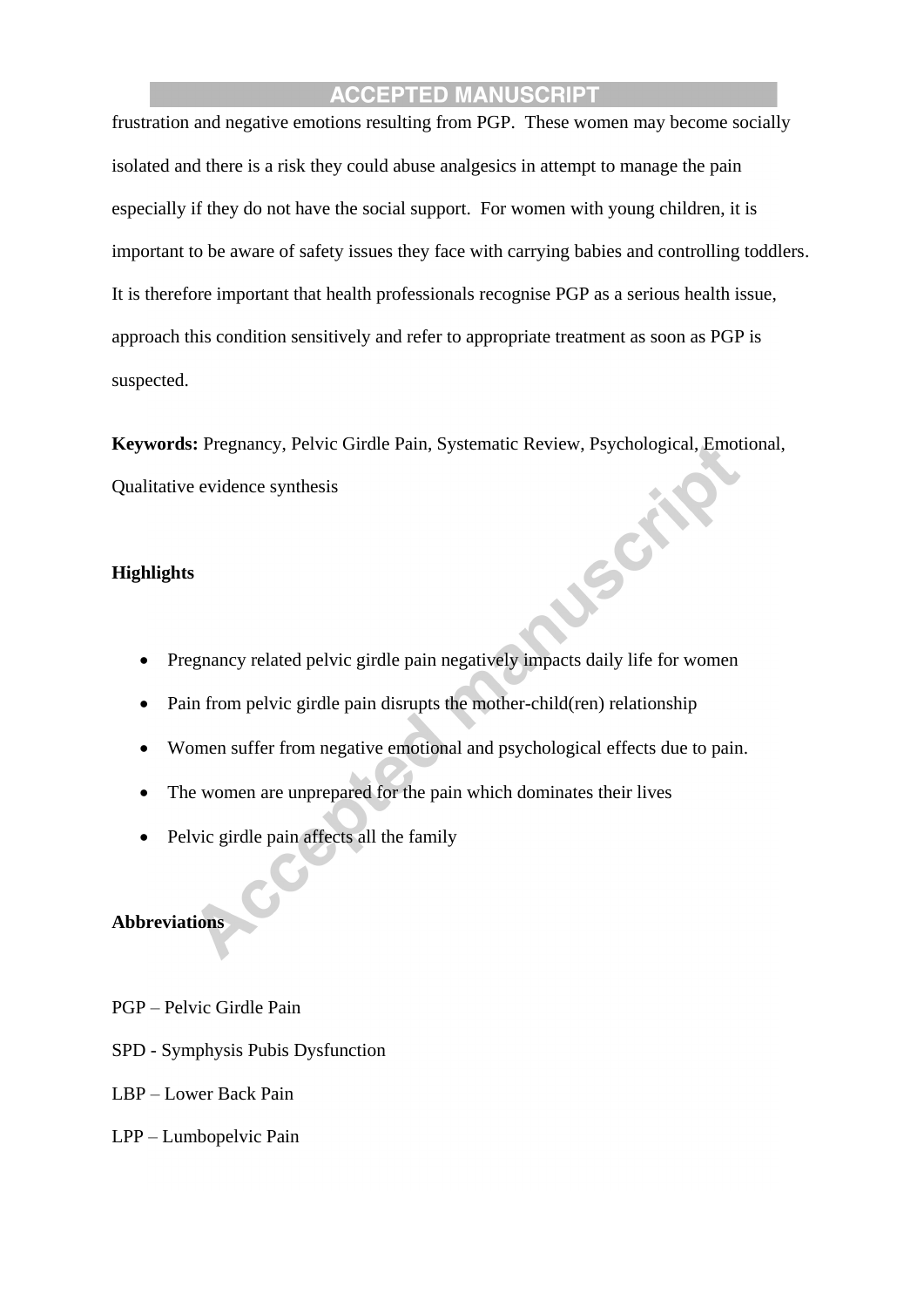frustration and negative emotions resulting from PGP. These women may become socially isolated and there is a risk they could abuse analgesics in attempt to manage the pain especially if they do not have the social support. For women with young children, it is important to be aware of safety issues they face with carrying babies and controlling toddlers. It is therefore important that health professionals recognise PGP as a serious health issue, approach this condition sensitively and refer to appropriate treatment as soon as PGP is suspected.

**Keywords:** Pregnancy, Pelvic Girdle Pain, Systematic Review, Psychological, Emotional, Qualitative evidence synthesis USCAL

## **Highlights**

- Pregnancy related pelvic girdle pain negatively impacts daily life for women
- Pain from pelvic girdle pain disrupts the mother-child(ren) relationship
- Women suffer from negative emotional and psychological effects due to pain.
- The women are unprepared for the pain which dominates their lives
- Pelvic girdle pain affects all the family

#### **Abbreviations**

- PGP Pelvic Girdle Pain
- SPD Symphysis Pubis Dysfunction
- LBP Lower Back Pain
- LPP Lumbopelvic Pain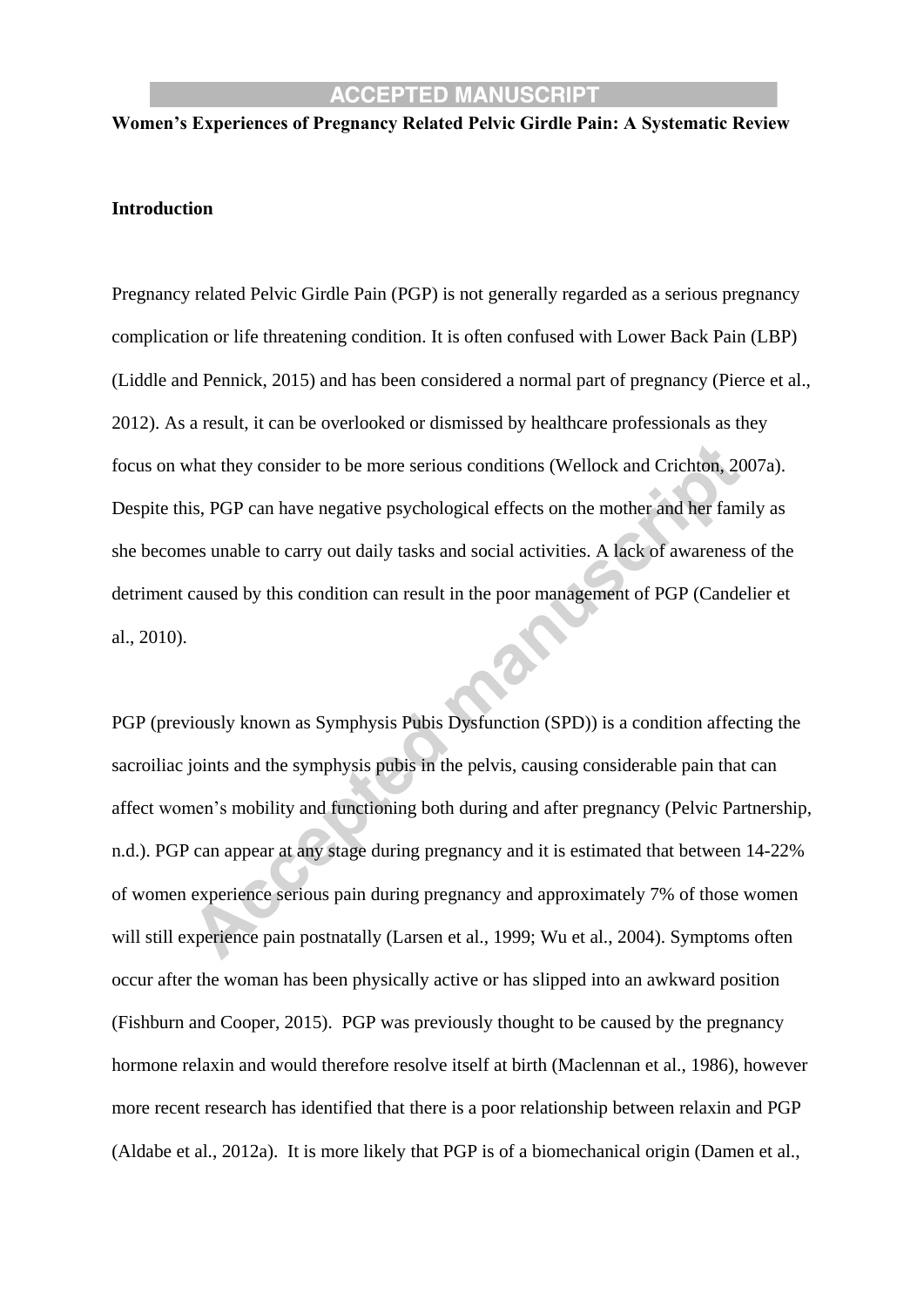#### **Women's Experiences of Pregnancy Related Pelvic Girdle Pain: A Systematic Review**

#### **Introduction**

Pregnancy related Pelvic Girdle Pain (PGP) is not generally regarded as a serious pregnancy complication or life threatening condition. It is often confused with Lower Back Pain (LBP) (Liddle and Pennick, 2015) and has been considered a normal part of pregnancy (Pierce et al., 2012). As a result, it can be overlooked or dismissed by healthcare professionals as they focus on what they consider to be more serious conditions (Wellock and Crichton, 2007a). Despite this, PGP can have negative psychological effects on the mother and her family as she becomes unable to carry out daily tasks and social activities. A lack of awareness of the detriment caused by this condition can result in the poor management of PGP (Candelier et al., 2010).

PGP (previously known as Symphysis Pubis Dysfunction (SPD)) is a condition affecting the sacroiliac joints and the symphysis pubis in the pelvis, causing considerable pain that can affect women's mobility and functioning both during and after pregnancy (Pelvic Partnership, n.d.). PGP can appear at any stage during pregnancy and it is estimated that between 14-22% of women experience serious pain during pregnancy and approximately 7% of those women will still experience pain postnatally (Larsen et al., 1999; Wu et al., 2004). Symptoms often occur after the woman has been physically active or has slipped into an awkward position (Fishburn and Cooper, 2015). PGP was previously thought to be caused by the pregnancy hormone relaxin and would therefore resolve itself at birth (Maclennan et al., 1986), however more recent research has identified that there is a poor relationship between relaxin and PGP (Aldabe et al., 2012a). It is more likely that PGP is of a biomechanical origin (Damen et al.,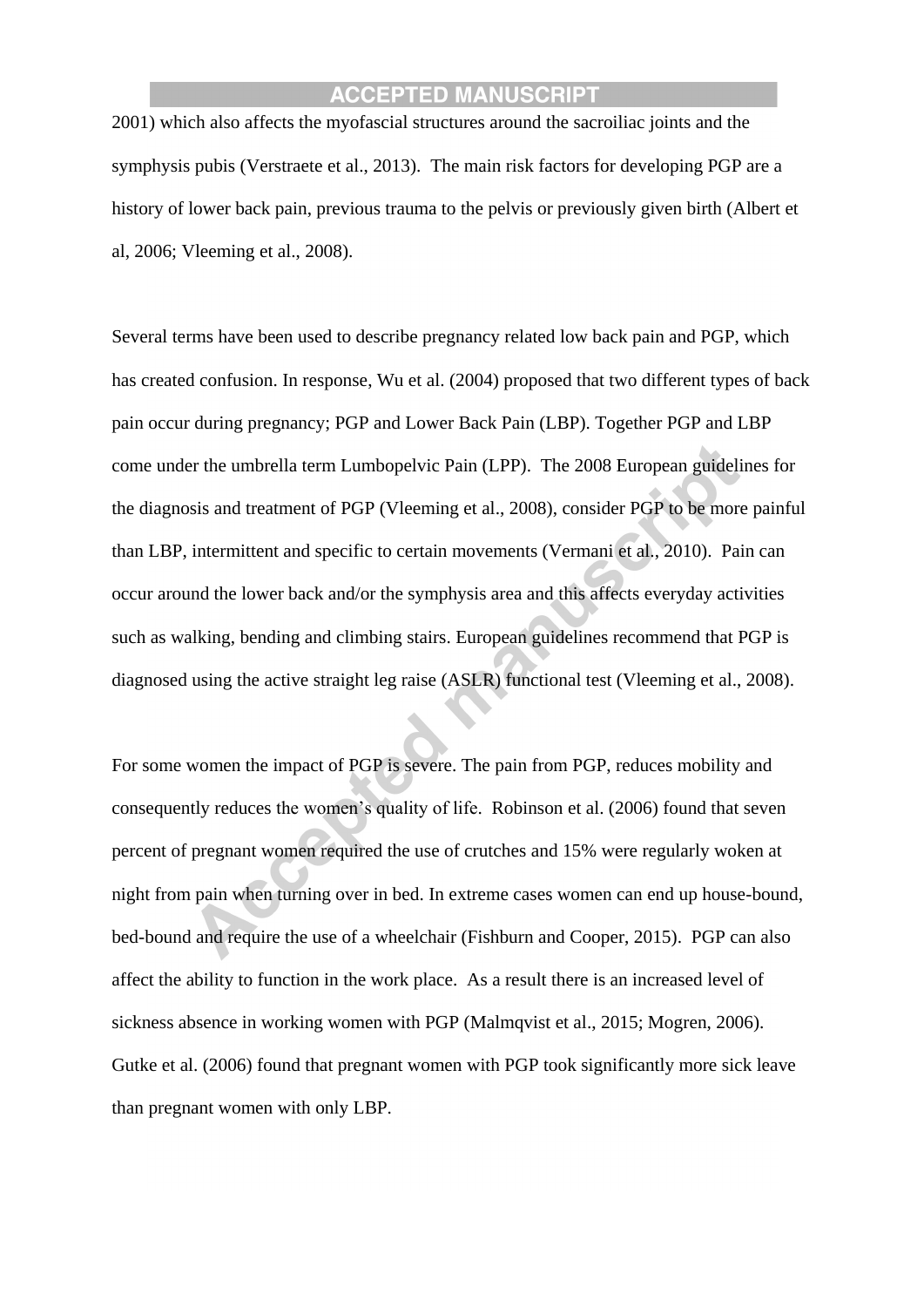2001) which also affects the myofascial structures around the sacroiliac joints and the symphysis pubis (Verstraete et al., 2013). The main risk factors for developing PGP are a history of lower back pain, previous trauma to the pelvis or previously given birth (Albert et al, 2006; Vleeming et al., 2008).

Several terms have been used to describe pregnancy related low back pain and PGP, which has created confusion. In response, Wu et al. (2004) proposed that two different types of back pain occur during pregnancy; PGP and Lower Back Pain (LBP). Together PGP and LBP come under the umbrella term Lumbopelvic Pain (LPP). The 2008 European guidelines for the diagnosis and treatment of PGP (Vleeming et al., 2008), consider PGP to be more painful than LBP, intermittent and specific to certain movements (Vermani et al., 2010). Pain can occur around the lower back and/or the symphysis area and this affects everyday activities such as walking, bending and climbing stairs. European guidelines recommend that PGP is diagnosed using the active straight leg raise (ASLR) functional test (Vleeming et al., 2008).

For some women the impact of PGP is severe. The pain from PGP, reduces mobility and consequently reduces the women's quality of life. Robinson et al. (2006) found that seven percent of pregnant women required the use of crutches and 15% were regularly woken at night from pain when turning over in bed. In extreme cases women can end up house-bound, bed-bound and require the use of a wheelchair (Fishburn and Cooper, 2015). PGP can also affect the ability to function in the work place. As a result there is an increased level of sickness absence in working women with PGP (Malmqvist et al., 2015; Mogren, 2006). Gutke et al. (2006) found that pregnant women with PGP took significantly more sick leave than pregnant women with only LBP.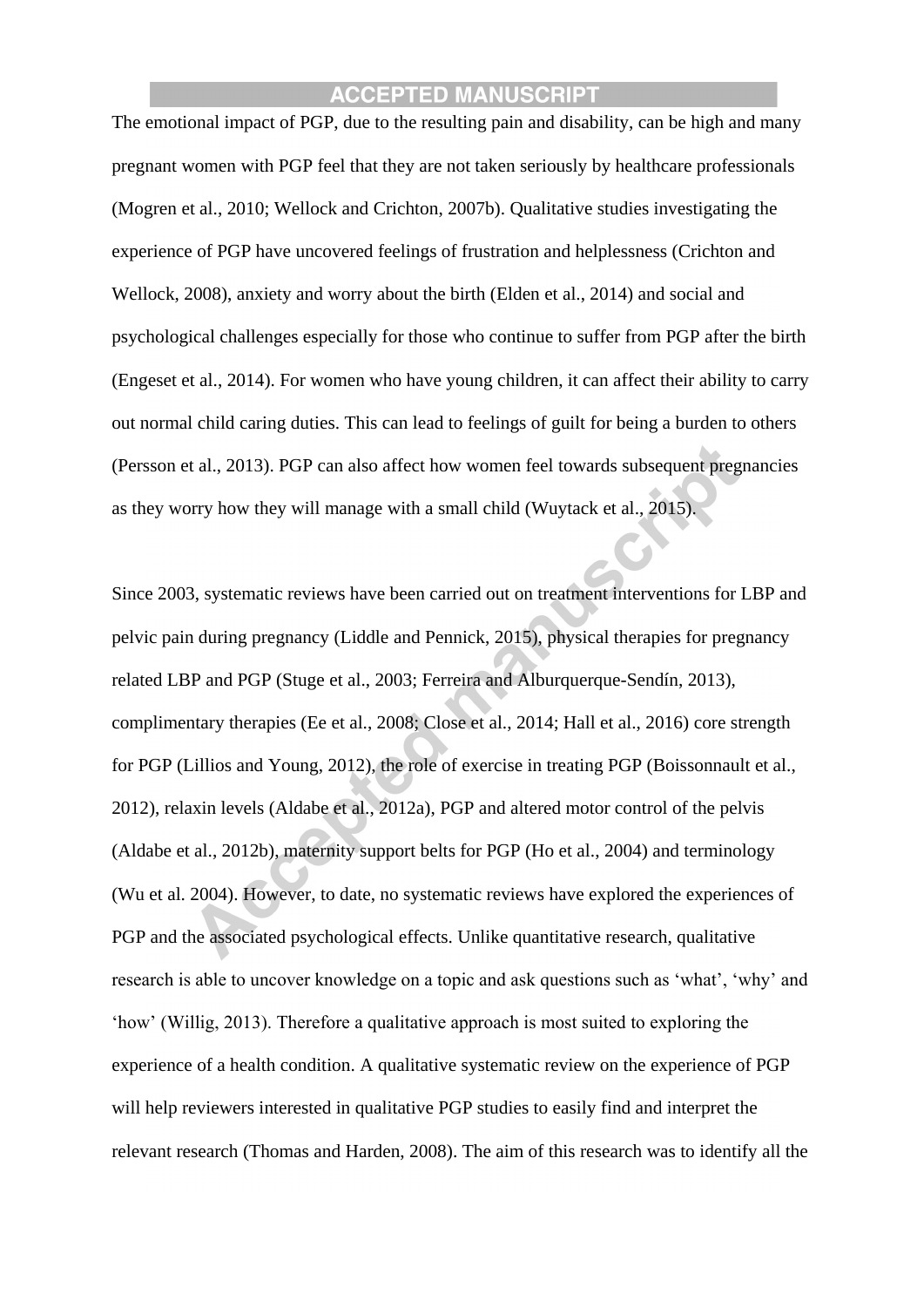The emotional impact of PGP, due to the resulting pain and disability, can be high and many pregnant women with PGP feel that they are not taken seriously by healthcare professionals (Mogren et al., 2010; Wellock and Crichton, 2007b). Qualitative studies investigating the experience of PGP have uncovered feelings of frustration and helplessness (Crichton and Wellock, 2008), anxiety and worry about the birth (Elden et al., 2014) and social and psychological challenges especially for those who continue to suffer from PGP after the birth (Engeset et al., 2014). For women who have young children, it can affect their ability to carry out normal child caring duties. This can lead to feelings of guilt for being a burden to others (Persson et al., 2013). PGP can also affect how women feel towards subsequent pregnancies as they worry how they will manage with a small child (Wuytack et al., 2015).

Since 2003, systematic reviews have been carried out on treatment interventions for LBP and pelvic pain during pregnancy (Liddle and Pennick, 2015), physical therapies for pregnancy related LBP and PGP (Stuge et al., 2003; Ferreira and Alburquerque-Sendín, 2013), complimentary therapies (Ee et al., 2008; Close et al., 2014; Hall et al., 2016) core strength for PGP (Lillios and Young, 2012), the role of exercise in treating PGP (Boissonnault et al., 2012), relaxin levels (Aldabe et al., 2012a), PGP and altered motor control of the pelvis (Aldabe et al., 2012b), maternity support belts for PGP (Ho et al., 2004) and terminology (Wu et al. 2004). However, to date, no systematic reviews have explored the experiences of PGP and the associated psychological effects. Unlike quantitative research, qualitative research is able to uncover knowledge on a topic and ask questions such as 'what', 'why' and 'how' (Willig, 2013). Therefore a qualitative approach is most suited to exploring the experience of a health condition. A qualitative systematic review on the experience of PGP will help reviewers interested in qualitative PGP studies to easily find and interpret the relevant research (Thomas and Harden, 2008). The aim of this research was to identify all the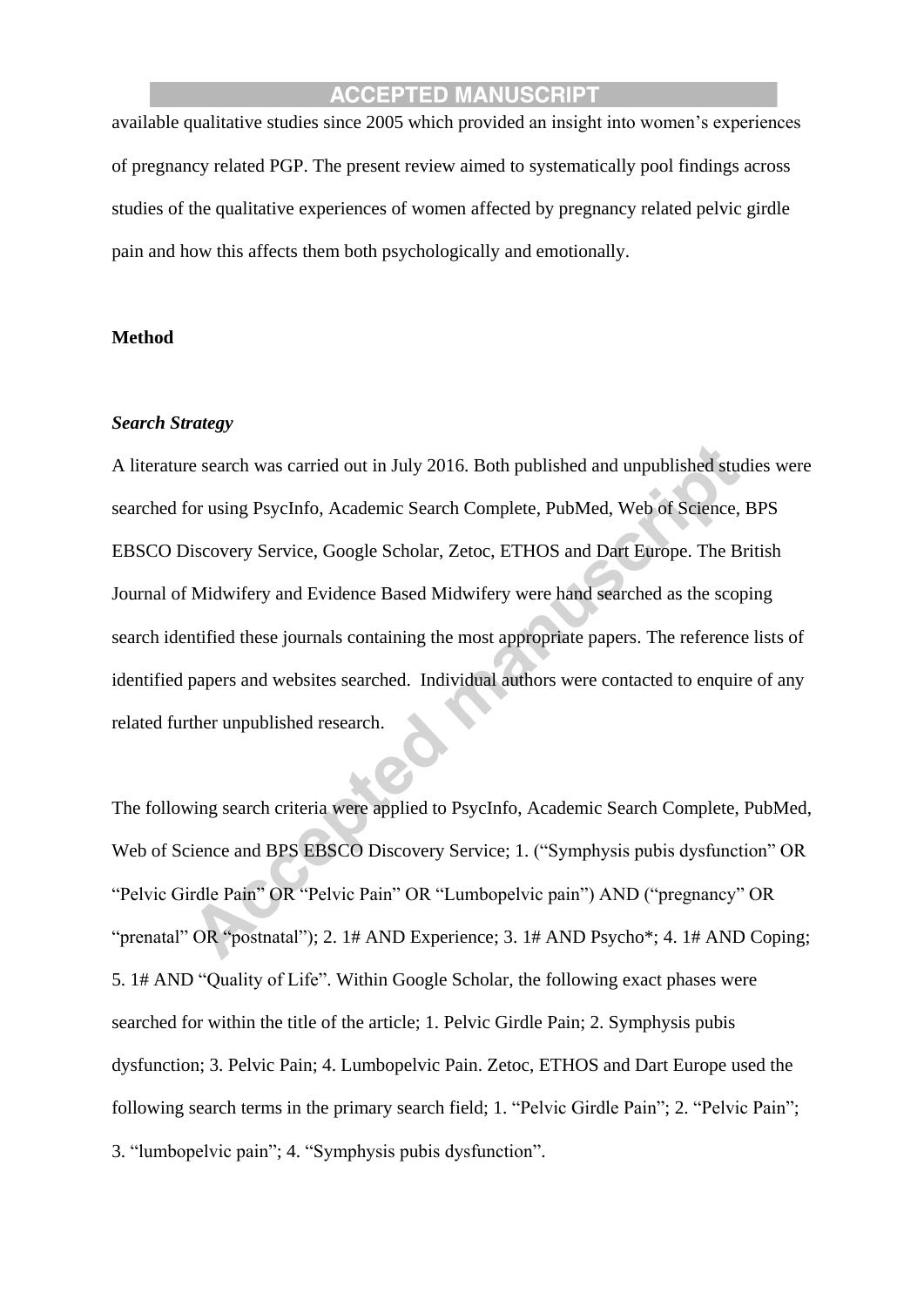available qualitative studies since 2005 which provided an insight into women's experiences of pregnancy related PGP. The present review aimed to systematically pool findings across studies of the qualitative experiences of women affected by pregnancy related pelvic girdle pain and how this affects them both psychologically and emotionally.

#### **Method**

#### *Search Strategy*

A literature search was carried out in July 2016. Both published and unpublished studies were searched for using PsycInfo, Academic Search Complete, PubMed, Web of Science, BPS EBSCO Discovery Service, Google Scholar, Zetoc, ETHOS and Dart Europe. The British Journal of Midwifery and Evidence Based Midwifery were hand searched as the scoping search identified these journals containing the most appropriate papers. The reference lists of identified papers and websites searched. Individual authors were contacted to enquire of any related further unpublished research.

The following search criteria were applied to PsycInfo, Academic Search Complete, PubMed, Web of Science and BPS EBSCO Discovery Service; 1. ("Symphysis pubis dysfunction" OR "Pelvic Girdle Pain" OR "Pelvic Pain" OR "Lumbopelvic pain") AND ("pregnancy" OR "prenatal" OR "postnatal"); 2. 1# AND Experience; 3. 1# AND Psycho\*; 4. 1# AND Coping; 5. 1# AND "Quality of Life". Within Google Scholar, the following exact phases were searched for within the title of the article; 1. Pelvic Girdle Pain; 2. Symphysis pubis dysfunction; 3. Pelvic Pain; 4. Lumbopelvic Pain. Zetoc, ETHOS and Dart Europe used the following search terms in the primary search field; 1. "Pelvic Girdle Pain"; 2. "Pelvic Pain"; 3. "lumbopelvic pain"; 4. "Symphysis pubis dysfunction".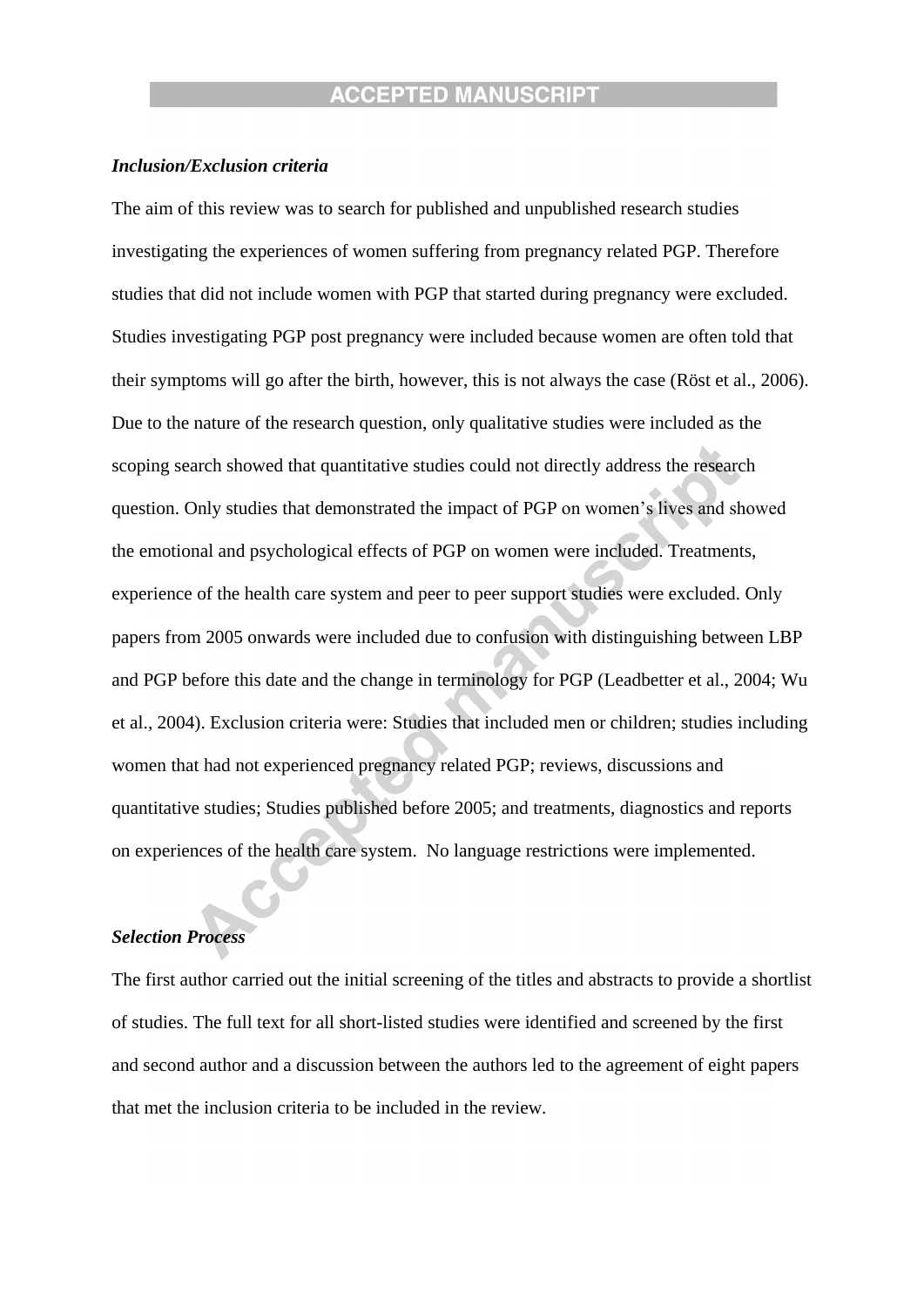#### *Inclusion/Exclusion criteria*

The aim of this review was to search for published and unpublished research studies investigating the experiences of women suffering from pregnancy related PGP. Therefore studies that did not include women with PGP that started during pregnancy were excluded. Studies investigating PGP post pregnancy were included because women are often told that their symptoms will go after the birth, however, this is not always the case (Röst et al., 2006). Due to the nature of the research question, only qualitative studies were included as the scoping search showed that quantitative studies could not directly address the research question. Only studies that demonstrated the impact of PGP on women's lives and showed the emotional and psychological effects of PGP on women were included. Treatments, experience of the health care system and peer to peer support studies were excluded. Only papers from 2005 onwards were included due to confusion with distinguishing between LBP and PGP before this date and the change in terminology for PGP (Leadbetter et al., 2004; Wu et al., 2004). Exclusion criteria were: Studies that included men or children; studies including women that had not experienced pregnancy related PGP; reviews, discussions and quantitative studies; Studies published before 2005; and treatments, diagnostics and reports on experiences of the health care system. No language restrictions were implemented.

#### *Selection Process*

The first author carried out the initial screening of the titles and abstracts to provide a shortlist of studies. The full text for all short-listed studies were identified and screened by the first and second author and a discussion between the authors led to the agreement of eight papers that met the inclusion criteria to be included in the review.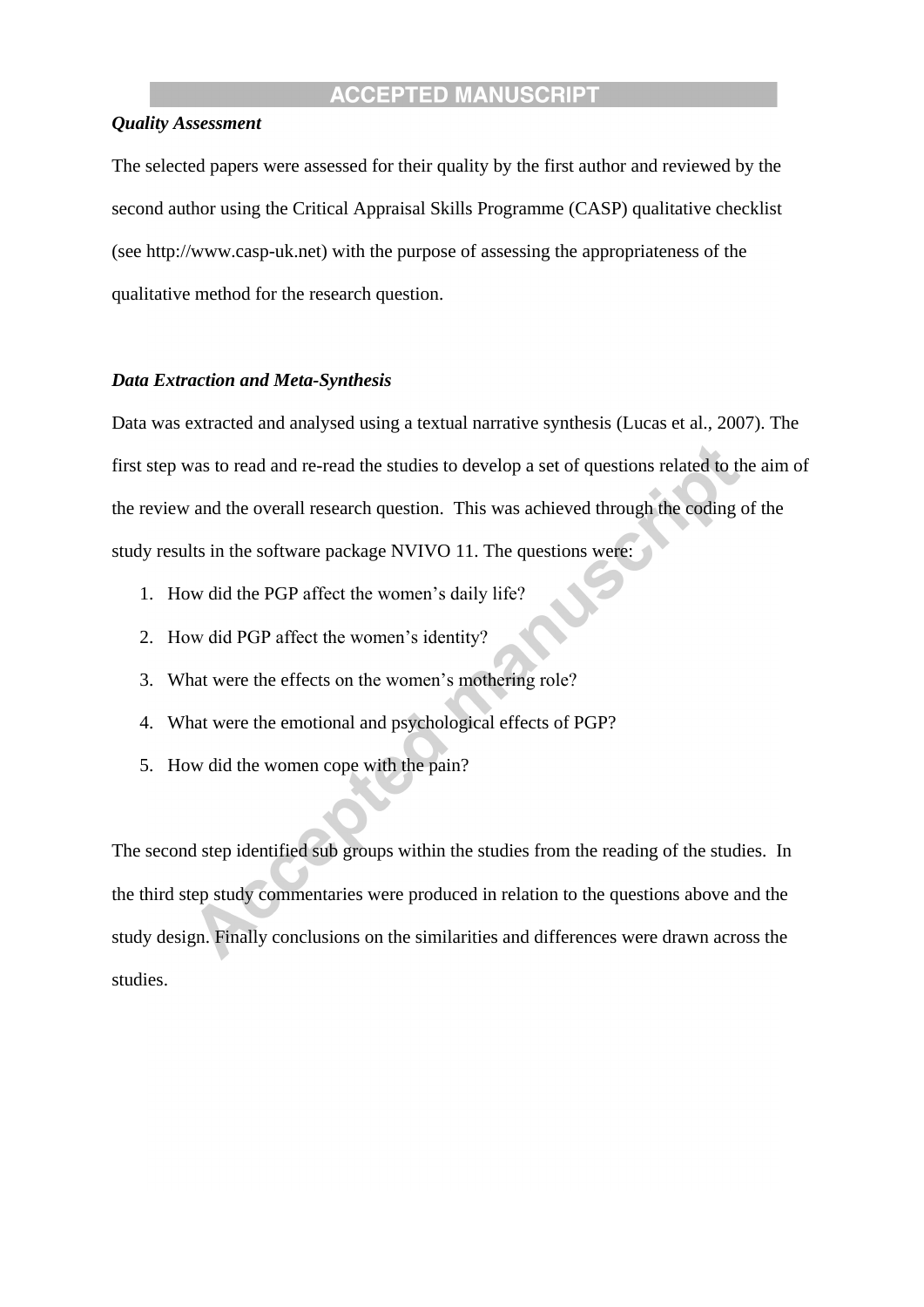#### *Quality Assessment*

The selected papers were assessed for their quality by the first author and reviewed by the second author using the Critical Appraisal Skills Programme (CASP) qualitative checklist (see http://www.casp-uk.net) with the purpose of assessing the appropriateness of the qualitative method for the research question.

#### *Data Extraction and Meta-Synthesis*

Data was extracted and analysed using a textual narrative synthesis (Lucas et al., 2007). The first step was to read and re-read the studies to develop a set of questions related to the aim of the review and the overall research question. This was achieved through the coding of the study results in the software package NVIVO 11. The questions were:

- 1. How did the PGP affect the women's daily life?
- 2. How did PGP affect the women's identity?
- 3. What were the effects on the women's mothering role?
- 4. What were the emotional and psychological effects of PGP?
- 5. How did the women cope with the pain?

The second step identified sub groups within the studies from the reading of the studies. In the third step study commentaries were produced in relation to the questions above and the study design. Finally conclusions on the similarities and differences were drawn across the studies.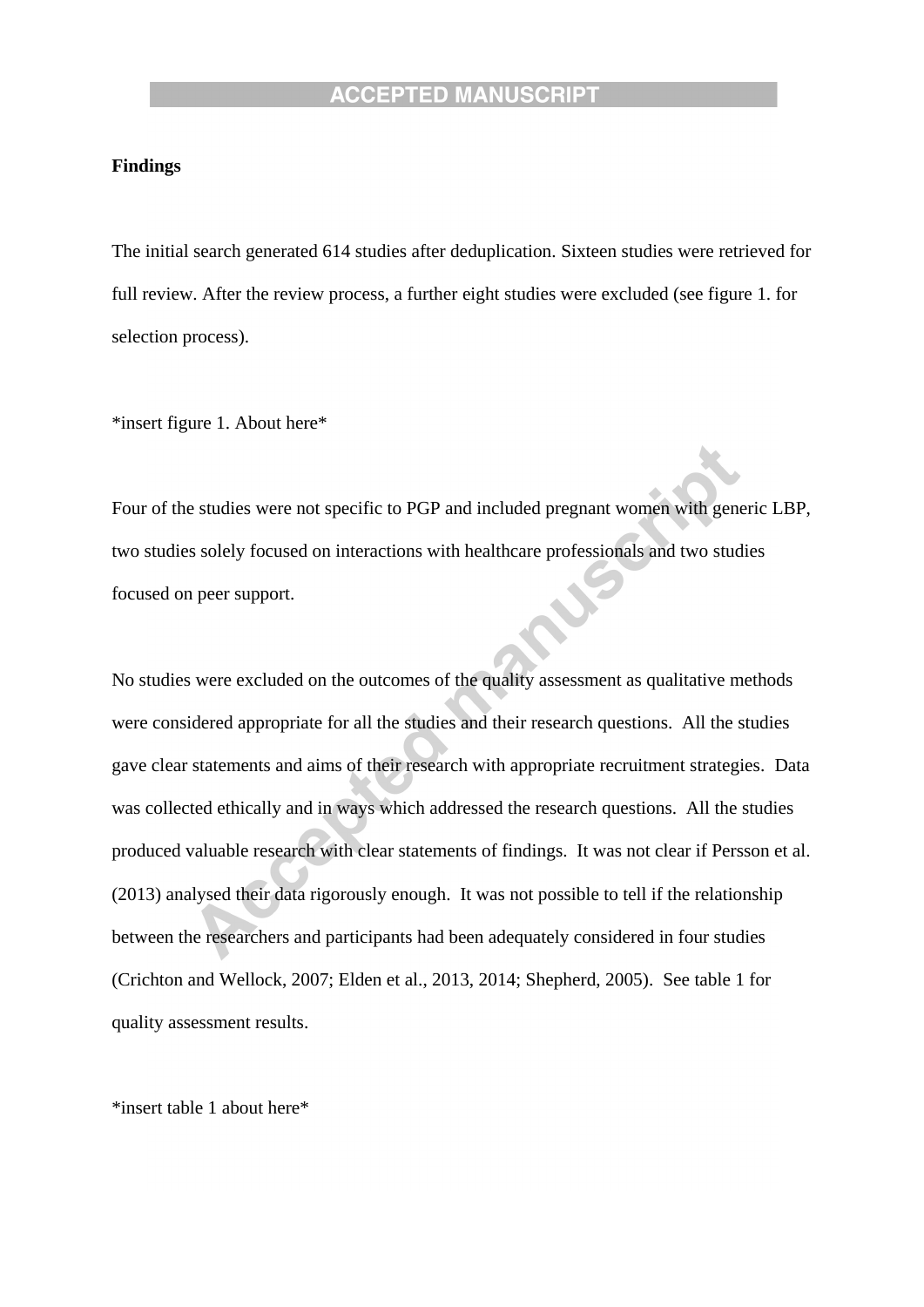#### **Findings**

The initial search generated 614 studies after deduplication. Sixteen studies were retrieved for full review. After the review process, a further eight studies were excluded (see figure 1. for selection process).

\*insert figure 1. About here\*

Four of the studies were not specific to PGP and included pregnant women with generic LBP, two studies solely focused on interactions with healthcare professionals and two studies focused on peer support.

No studies were excluded on the outcomes of the quality assessment as qualitative methods were considered appropriate for all the studies and their research questions. All the studies gave clear statements and aims of their research with appropriate recruitment strategies. Data was collected ethically and in ways which addressed the research questions. All the studies produced valuable research with clear statements of findings. It was not clear if Persson et al. (2013) analysed their data rigorously enough. It was not possible to tell if the relationship between the researchers and participants had been adequately considered in four studies (Crichton and Wellock, 2007; Elden et al., 2013, 2014; Shepherd, 2005). See table 1 for quality assessment results.

\*insert table 1 about here\*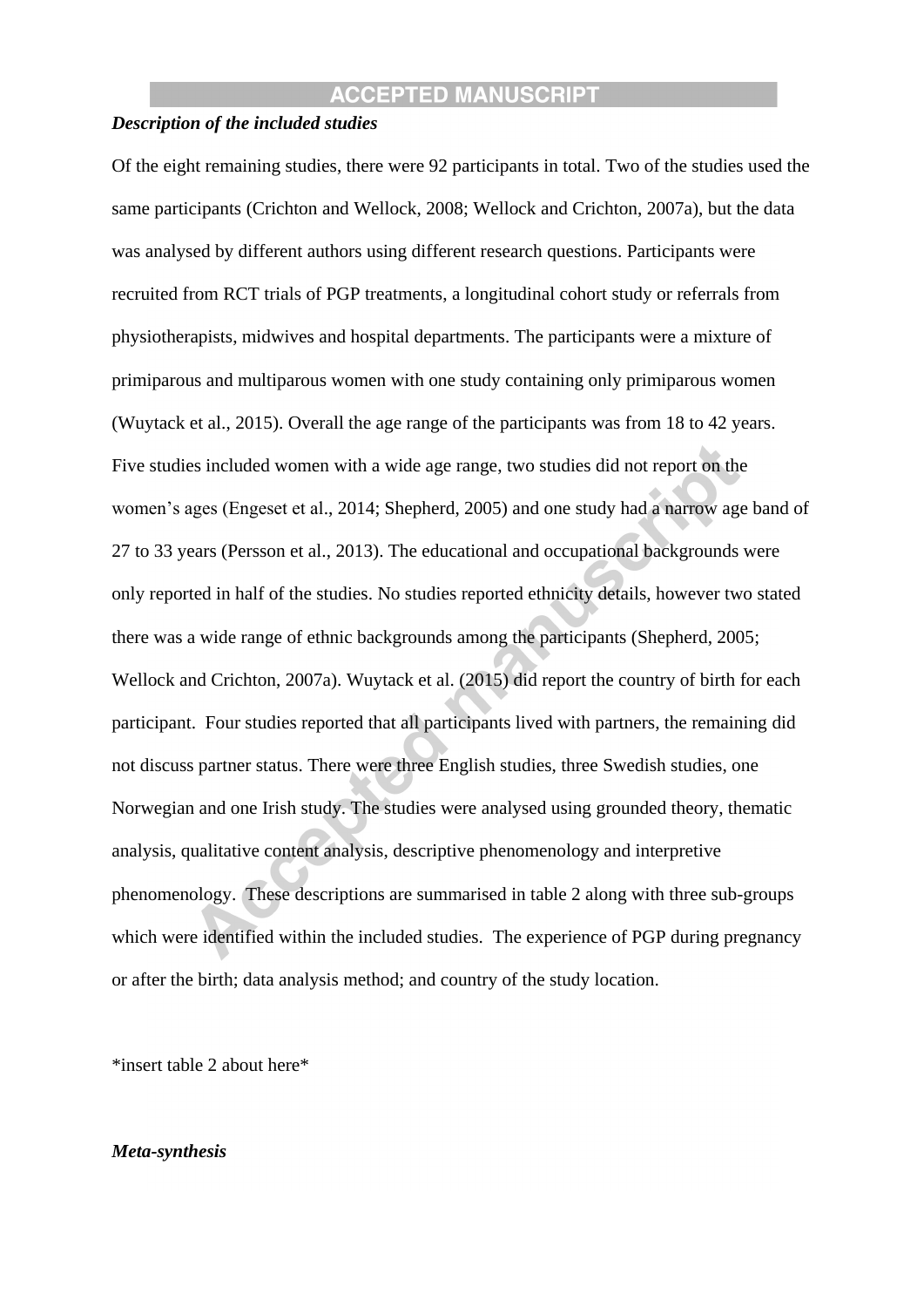#### *Description of the included studies*

Of the eight remaining studies, there were 92 participants in total. Two of the studies used the same participants (Crichton and Wellock, 2008; Wellock and Crichton, 2007a), but the data was analysed by different authors using different research questions. Participants were recruited from RCT trials of PGP treatments, a longitudinal cohort study or referrals from physiotherapists, midwives and hospital departments. The participants were a mixture of primiparous and multiparous women with one study containing only primiparous women (Wuytack et al., 2015). Overall the age range of the participants was from 18 to 42 years. Five studies included women with a wide age range, two studies did not report on the women's ages (Engeset et al., 2014; Shepherd, 2005) and one study had a narrow age band of 27 to 33 years (Persson et al., 2013). The educational and occupational backgrounds were only reported in half of the studies. No studies reported ethnicity details, however two stated there was a wide range of ethnic backgrounds among the participants (Shepherd, 2005; Wellock and Crichton, 2007a). Wuytack et al. (2015) did report the country of birth for each participant. Four studies reported that all participants lived with partners, the remaining did not discuss partner status. There were three English studies, three Swedish studies, one Norwegian and one Irish study. The studies were analysed using grounded theory, thematic analysis, qualitative content analysis, descriptive phenomenology and interpretive phenomenology. These descriptions are summarised in table 2 along with three sub-groups which were identified within the included studies. The experience of PGP during pregnancy or after the birth; data analysis method; and country of the study location.

\*insert table 2 about here\*

#### *Meta-synthesis*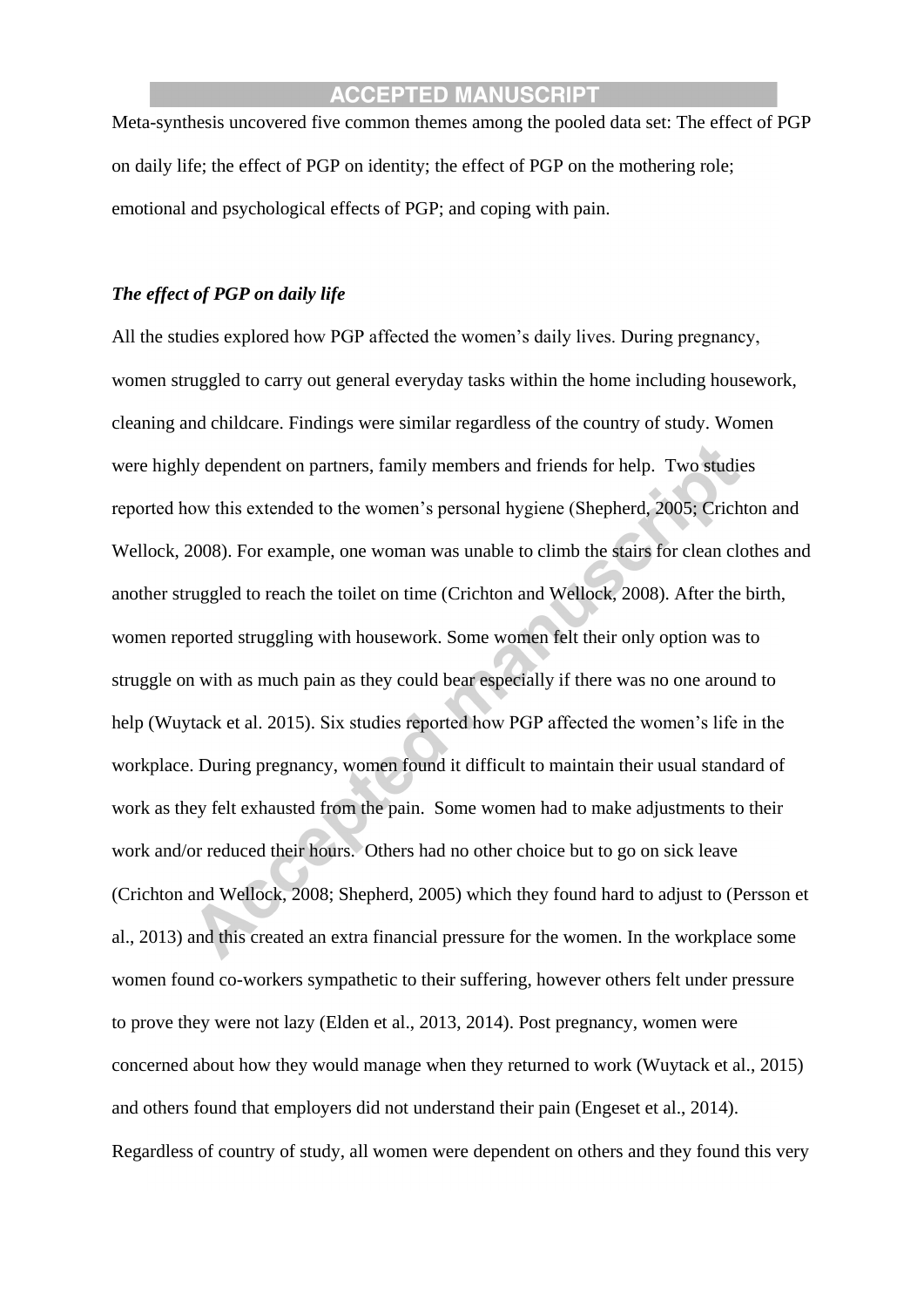Meta-synthesis uncovered five common themes among the pooled data set: The effect of PGP on daily life; the effect of PGP on identity; the effect of PGP on the mothering role; emotional and psychological effects of PGP; and coping with pain.

#### *The effect of PGP on daily life*

All the studies explored how PGP affected the women's daily lives. During pregnancy, women struggled to carry out general everyday tasks within the home including housework, cleaning and childcare. Findings were similar regardless of the country of study. Women were highly dependent on partners, family members and friends for help. Two studies reported how this extended to the women's personal hygiene (Shepherd, 2005; Crichton and Wellock, 2008). For example, one woman was unable to climb the stairs for clean clothes and another struggled to reach the toilet on time (Crichton and Wellock, 2008). After the birth, women reported struggling with housework. Some women felt their only option was to struggle on with as much pain as they could bear especially if there was no one around to help (Wuytack et al. 2015). Six studies reported how PGP affected the women's life in the workplace. During pregnancy, women found it difficult to maintain their usual standard of work as they felt exhausted from the pain. Some women had to make adjustments to their work and/or reduced their hours. Others had no other choice but to go on sick leave (Crichton and Wellock, 2008; Shepherd, 2005) which they found hard to adjust to (Persson et al., 2013) and this created an extra financial pressure for the women. In the workplace some women found co-workers sympathetic to their suffering, however others felt under pressure to prove they were not lazy (Elden et al., 2013, 2014). Post pregnancy, women were concerned about how they would manage when they returned to work (Wuytack et al., 2015) and others found that employers did not understand their pain (Engeset et al., 2014). Regardless of country of study, all women were dependent on others and they found this very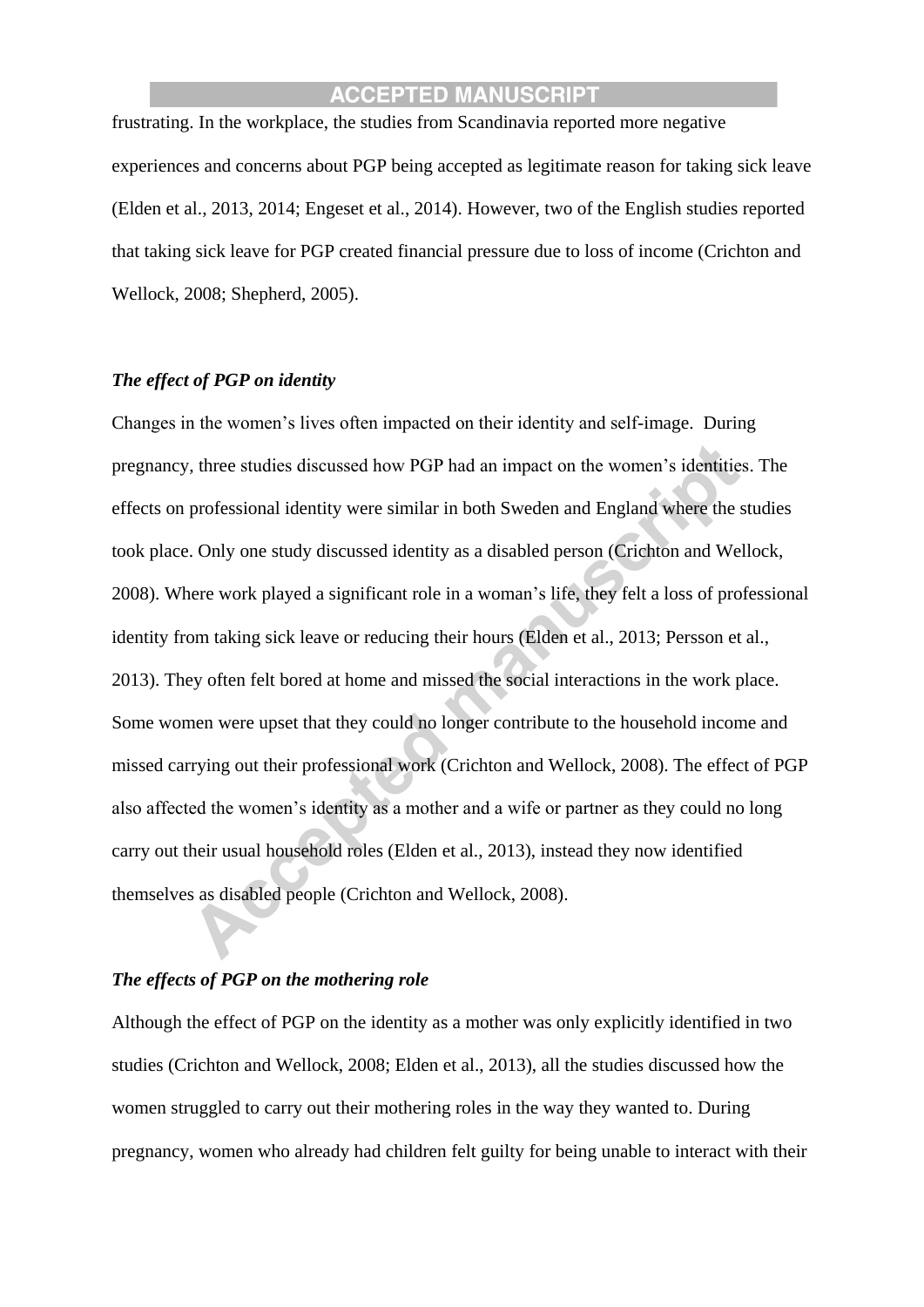frustrating. In the workplace, the studies from Scandinavia reported more negative experiences and concerns about PGP being accepted as legitimate reason for taking sick leave (Elden et al., 2013, 2014; Engeset et al., 2014). However, two of the English studies reported that taking sick leave for PGP created financial pressure due to loss of income (Crichton and Wellock, 2008; Shepherd, 2005).

#### *The effect of PGP on identity*

Changes in the women's lives often impacted on their identity and self-image. During pregnancy, three studies discussed how PGP had an impact on the women's identities. The effects on professional identity were similar in both Sweden and England where the studies took place. Only one study discussed identity as a disabled person (Crichton and Wellock, 2008). Where work played a significant role in a woman's life, they felt a loss of professional identity from taking sick leave or reducing their hours (Elden et al., 2013; Persson et al., 2013). They often felt bored at home and missed the social interactions in the work place. Some women were upset that they could no longer contribute to the household income and missed carrying out their professional work (Crichton and Wellock, 2008). The effect of PGP also affected the women's identity as a mother and a wife or partner as they could no long carry out their usual household roles (Elden et al., 2013), instead they now identified themselves as disabled people (Crichton and Wellock, 2008).

### *The effects of PGP on the mothering role*

Although the effect of PGP on the identity as a mother was only explicitly identified in two studies (Crichton and Wellock, 2008; Elden et al., 2013), all the studies discussed how the women struggled to carry out their mothering roles in the way they wanted to. During pregnancy, women who already had children felt guilty for being unable to interact with their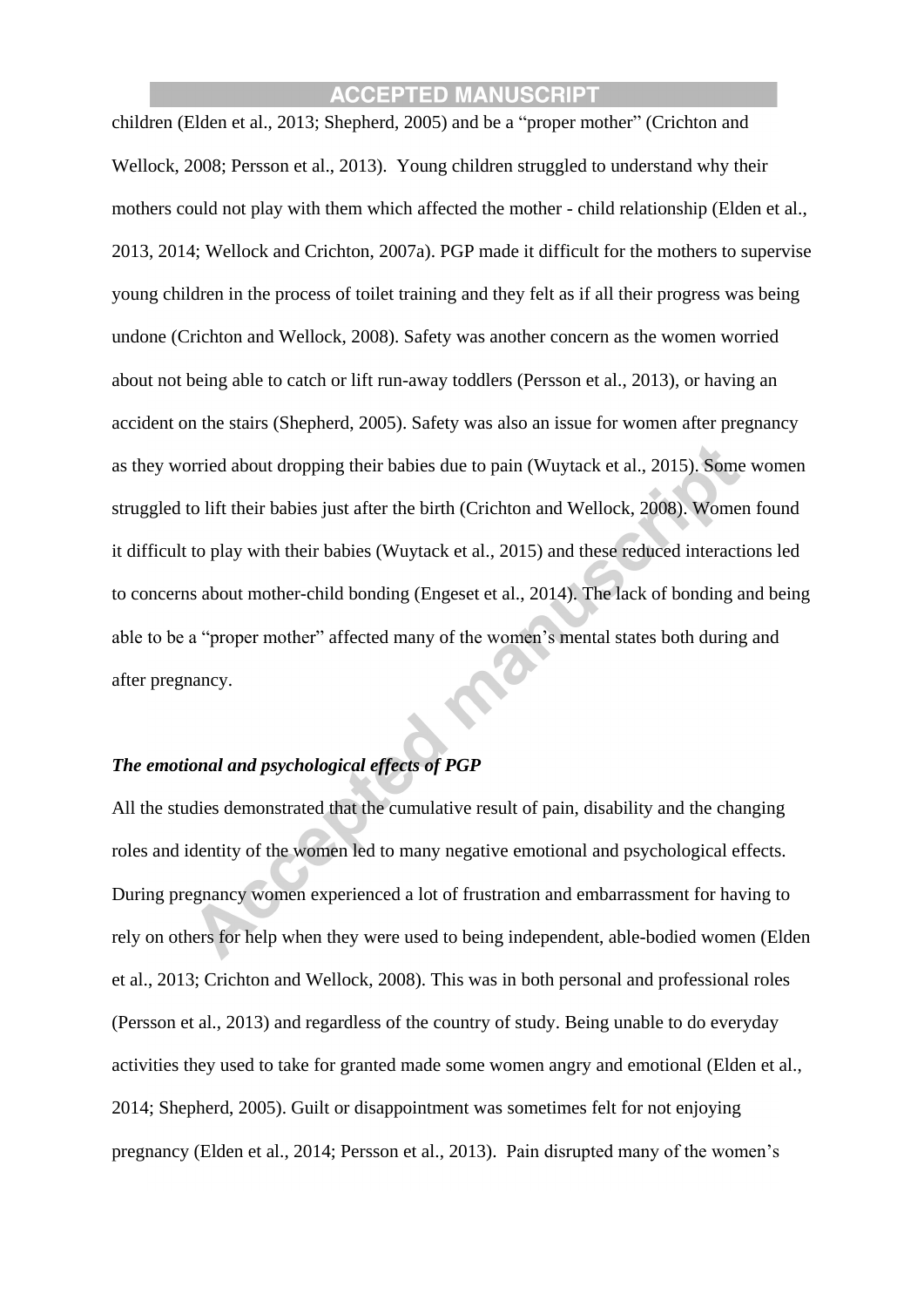children (Elden et al., 2013; Shepherd, 2005) and be a "proper mother" (Crichton and Wellock, 2008; Persson et al., 2013). Young children struggled to understand why their mothers could not play with them which affected the mother - child relationship (Elden et al., 2013, 2014; Wellock and Crichton, 2007a). PGP made it difficult for the mothers to supervise young children in the process of toilet training and they felt as if all their progress was being undone (Crichton and Wellock, 2008). Safety was another concern as the women worried about not being able to catch or lift run-away toddlers (Persson et al., 2013), or having an accident on the stairs (Shepherd, 2005). Safety was also an issue for women after pregnancy as they worried about dropping their babies due to pain (Wuytack et al., 2015). Some women struggled to lift their babies just after the birth (Crichton and Wellock, 2008). Women found it difficult to play with their babies (Wuytack et al., 2015) and these reduced interactions led to concerns about mother-child bonding (Engeset et al., 2014). The lack of bonding and being able to be a "proper mother" affected many of the women's mental states both during and after pregnancy.

### *The emotional and psychological effects of PGP*

All the studies demonstrated that the cumulative result of pain, disability and the changing roles and identity of the women led to many negative emotional and psychological effects. During pregnancy women experienced a lot of frustration and embarrassment for having to rely on others for help when they were used to being independent, able-bodied women (Elden et al., 2013; Crichton and Wellock, 2008). This was in both personal and professional roles (Persson et al., 2013) and regardless of the country of study. Being unable to do everyday activities they used to take for granted made some women angry and emotional (Elden et al., 2014; Shepherd, 2005). Guilt or disappointment was sometimes felt for not enjoying pregnancy (Elden et al., 2014; Persson et al., 2013). Pain disrupted many of the women's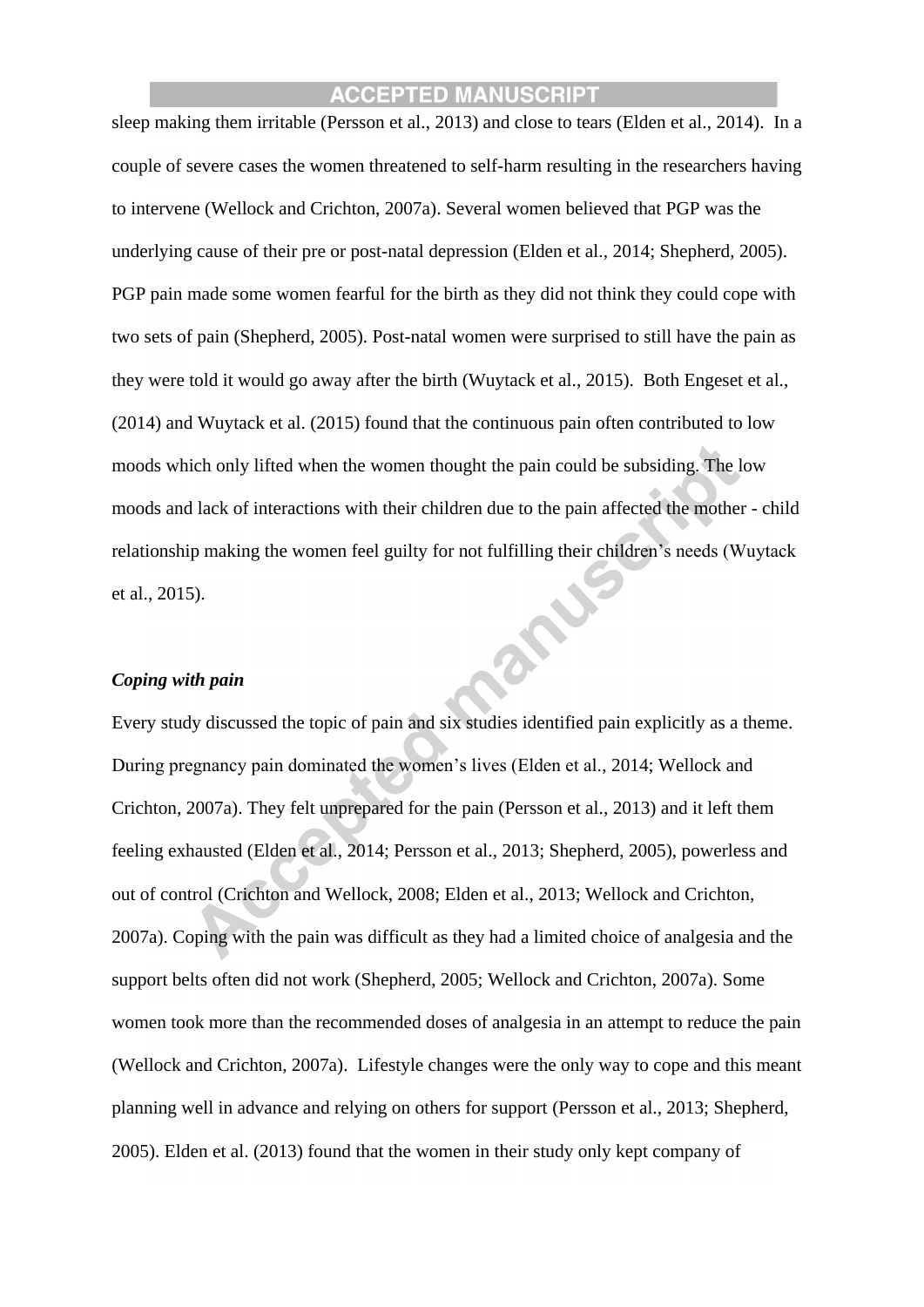sleep making them irritable (Persson et al., 2013) and close to tears (Elden et al., 2014). In a couple of severe cases the women threatened to self-harm resulting in the researchers having to intervene (Wellock and Crichton, 2007a). Several women believed that PGP was the underlying cause of their pre or post-natal depression (Elden et al., 2014; Shepherd, 2005). PGP pain made some women fearful for the birth as they did not think they could cope with two sets of pain (Shepherd, 2005). Post-natal women were surprised to still have the pain as they were told it would go away after the birth (Wuytack et al., 2015). Both Engeset et al., (2014) and Wuytack et al. (2015) found that the continuous pain often contributed to low moods which only lifted when the women thought the pain could be subsiding. The low moods and lack of interactions with their children due to the pain affected the mother - child relationship making the women feel guilty for not fulfilling their children's needs (Wuytack et al., 2015).

#### *Coping with pain*

Every study discussed the topic of pain and six studies identified pain explicitly as a theme. During pregnancy pain dominated the women's lives (Elden et al., 2014; Wellock and Crichton, 2007a). They felt unprepared for the pain (Persson et al., 2013) and it left them feeling exhausted (Elden et al., 2014; Persson et al., 2013; Shepherd, 2005), powerless and out of control (Crichton and Wellock, 2008; Elden et al., 2013; Wellock and Crichton, 2007a). Coping with the pain was difficult as they had a limited choice of analgesia and the support belts often did not work (Shepherd, 2005; Wellock and Crichton, 2007a). Some women took more than the recommended doses of analgesia in an attempt to reduce the pain (Wellock and Crichton, 2007a). Lifestyle changes were the only way to cope and this meant planning well in advance and relying on others for support (Persson et al., 2013; Shepherd, 2005). Elden et al. (2013) found that the women in their study only kept company of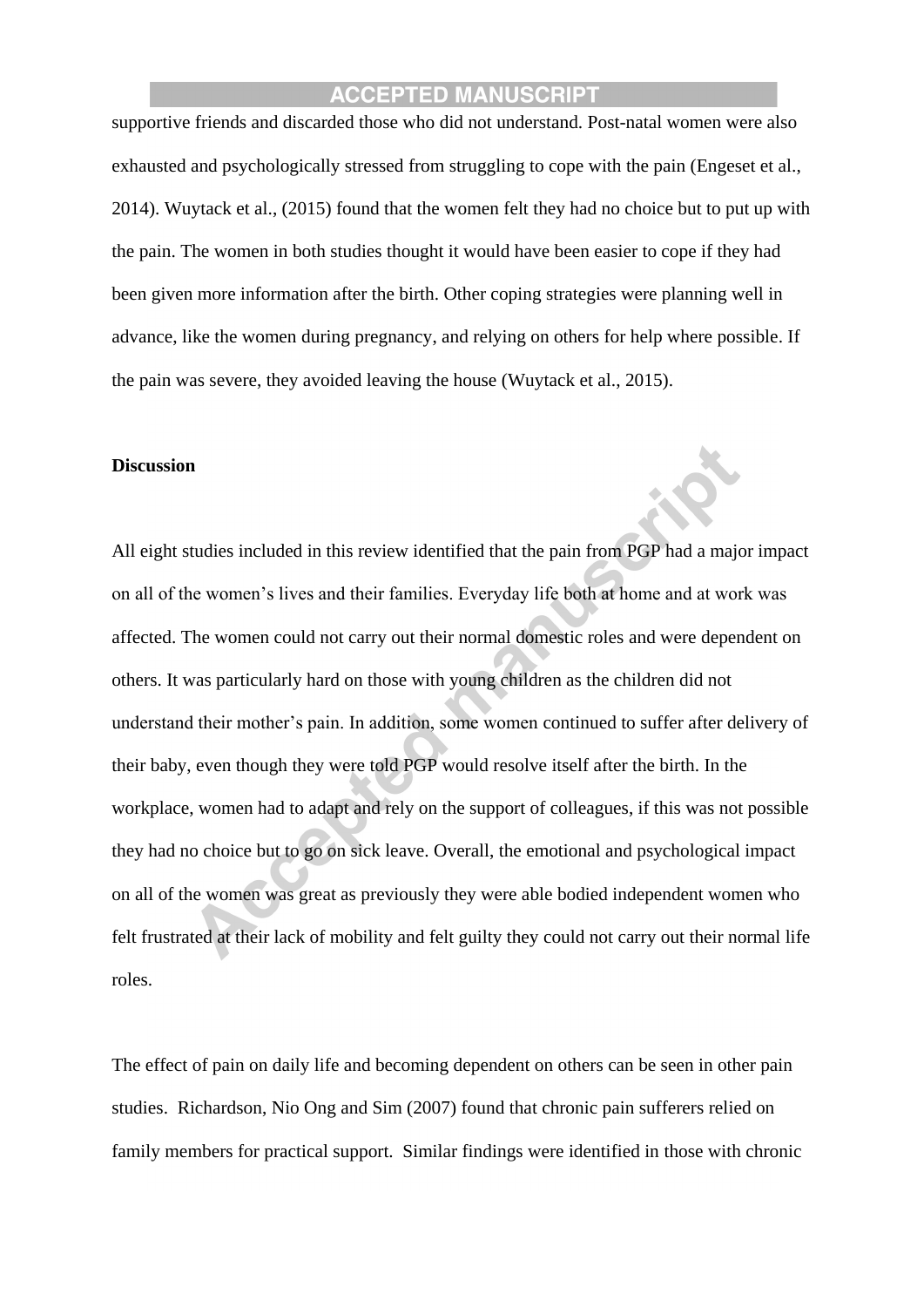supportive friends and discarded those who did not understand. Post-natal women were also exhausted and psychologically stressed from struggling to cope with the pain (Engeset et al., 2014). Wuytack et al., (2015) found that the women felt they had no choice but to put up with the pain. The women in both studies thought it would have been easier to cope if they had been given more information after the birth. Other coping strategies were planning well in advance, like the women during pregnancy, and relying on others for help where possible. If the pain was severe, they avoided leaving the house (Wuytack et al., 2015).

#### **Discussion**

All eight studies included in this review identified that the pain from PGP had a major impact on all of the women's lives and their families. Everyday life both at home and at work was affected. The women could not carry out their normal domestic roles and were dependent on others. It was particularly hard on those with young children as the children did not understand their mother's pain. In addition, some women continued to suffer after delivery of their baby, even though they were told PGP would resolve itself after the birth. In the workplace, women had to adapt and rely on the support of colleagues, if this was not possible they had no choice but to go on sick leave. Overall, the emotional and psychological impact on all of the women was great as previously they were able bodied independent women who felt frustrated at their lack of mobility and felt guilty they could not carry out their normal life roles.

The effect of pain on daily life and becoming dependent on others can be seen in other pain studies. Richardson, Nio Ong and Sim (2007) found that chronic pain sufferers relied on family members for practical support. Similar findings were identified in those with chronic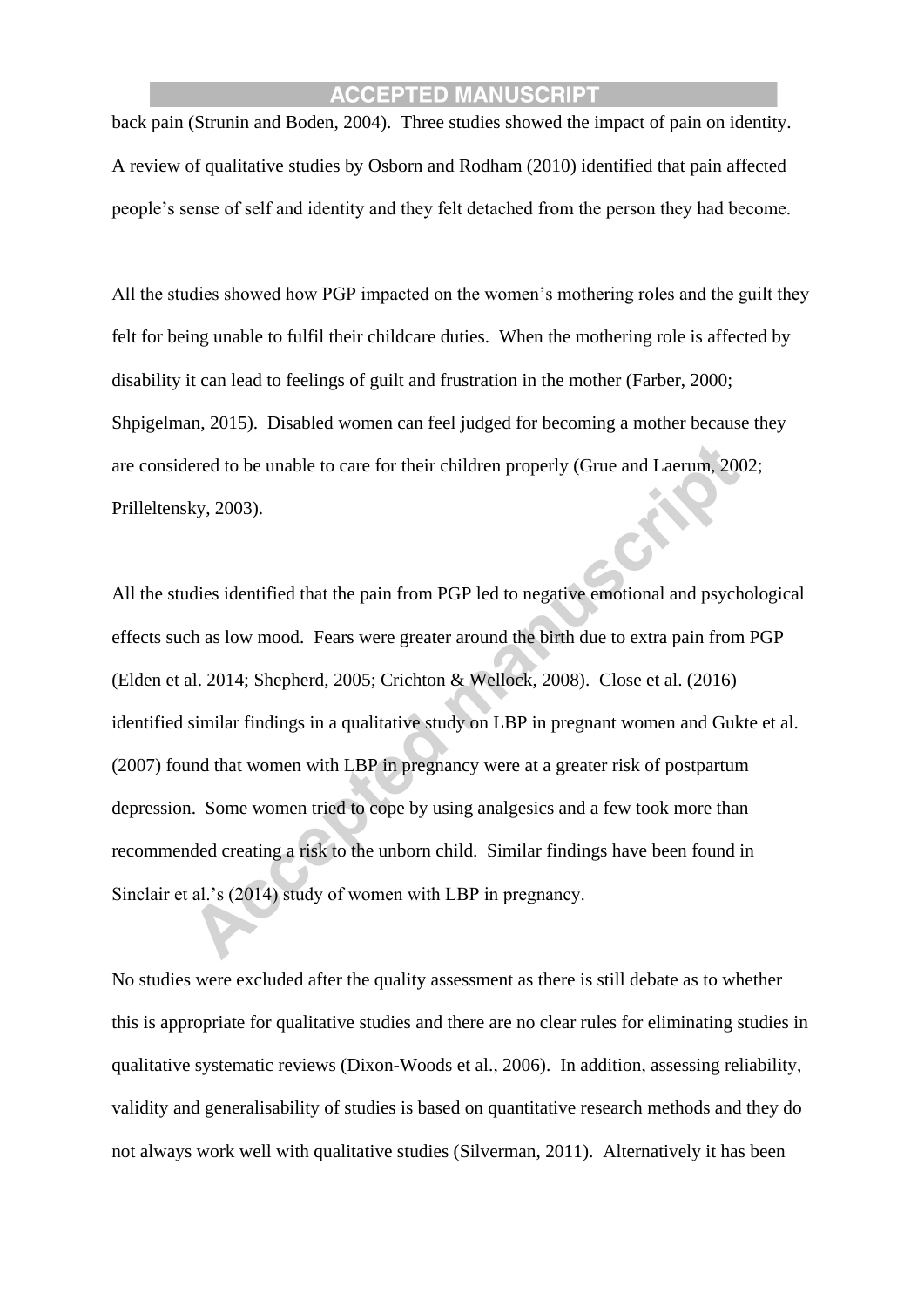back pain (Strunin and Boden, 2004). Three studies showed the impact of pain on identity. A review of qualitative studies by Osborn and Rodham (2010) identified that pain affected people's sense of self and identity and they felt detached from the person they had become.

All the studies showed how PGP impacted on the women's mothering roles and the guilt they felt for being unable to fulfil their childcare duties. When the mothering role is affected by disability it can lead to feelings of guilt and frustration in the mother (Farber, 2000; Shpigelman, 2015). Disabled women can feel judged for becoming a mother because they are considered to be unable to care for their children properly (Grue and Laerum, 2002; Prilleltensky, 2003).

All the studies identified that the pain from PGP led to negative emotional and psychological effects such as low mood. Fears were greater around the birth due to extra pain from PGP (Elden et al. 2014; Shepherd, 2005; Crichton & Wellock, 2008). Close et al. (2016) identified similar findings in a qualitative study on LBP in pregnant women and Gukte et al. (2007) found that women with LBP in pregnancy were at a greater risk of postpartum depression. Some women tried to cope by using analgesics and a few took more than recommended creating a risk to the unborn child. Similar findings have been found in Sinclair et al.'s (2014) study of women with LBP in pregnancy.

No studies were excluded after the quality assessment as there is still debate as to whether this is appropriate for qualitative studies and there are no clear rules for eliminating studies in qualitative systematic reviews (Dixon-Woods et al., 2006). In addition, assessing reliability, validity and generalisability of studies is based on quantitative research methods and they do not always work well with qualitative studies (Silverman, 2011). Alternatively it has been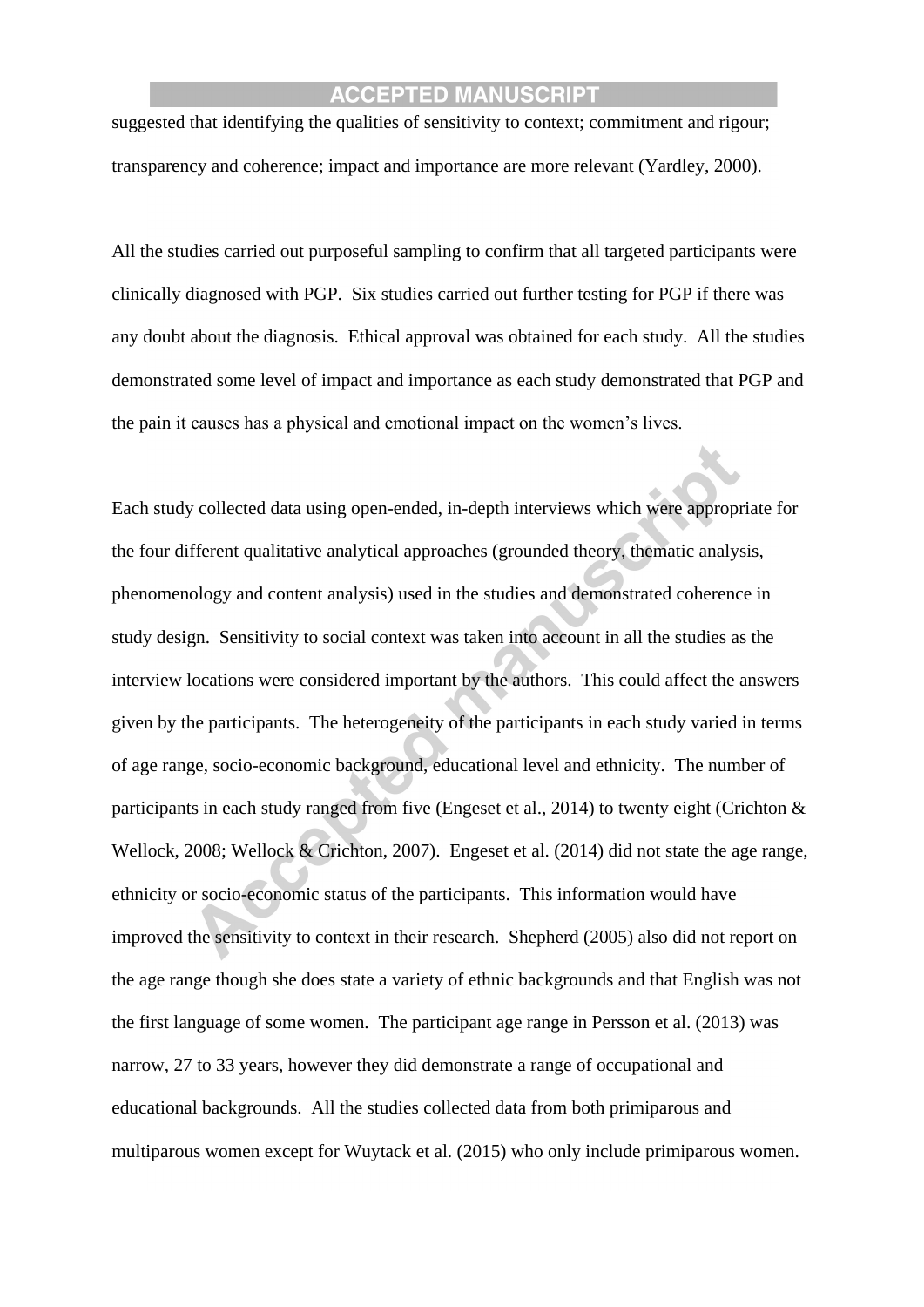suggested that identifying the qualities of sensitivity to context; commitment and rigour; transparency and coherence; impact and importance are more relevant (Yardley, 2000).

All the studies carried out purposeful sampling to confirm that all targeted participants were clinically diagnosed with PGP. Six studies carried out further testing for PGP if there was any doubt about the diagnosis. Ethical approval was obtained for each study. All the studies demonstrated some level of impact and importance as each study demonstrated that PGP and the pain it causes has a physical and emotional impact on the women's lives.

Each study collected data using open-ended, in-depth interviews which were appropriate for the four different qualitative analytical approaches (grounded theory, thematic analysis, phenomenology and content analysis) used in the studies and demonstrated coherence in study design. Sensitivity to social context was taken into account in all the studies as the interview locations were considered important by the authors. This could affect the answers given by the participants. The heterogeneity of the participants in each study varied in terms of age range, socio-economic background, educational level and ethnicity. The number of participants in each study ranged from five (Engeset et al., 2014) to twenty eight (Crichton & Wellock, 2008; Wellock & Crichton, 2007). Engeset et al. (2014) did not state the age range, ethnicity or socio-economic status of the participants. This information would have improved the sensitivity to context in their research. Shepherd (2005) also did not report on the age range though she does state a variety of ethnic backgrounds and that English was not the first language of some women. The participant age range in Persson et al. (2013) was narrow, 27 to 33 years, however they did demonstrate a range of occupational and educational backgrounds. All the studies collected data from both primiparous and multiparous women except for Wuytack et al. (2015) who only include primiparous women.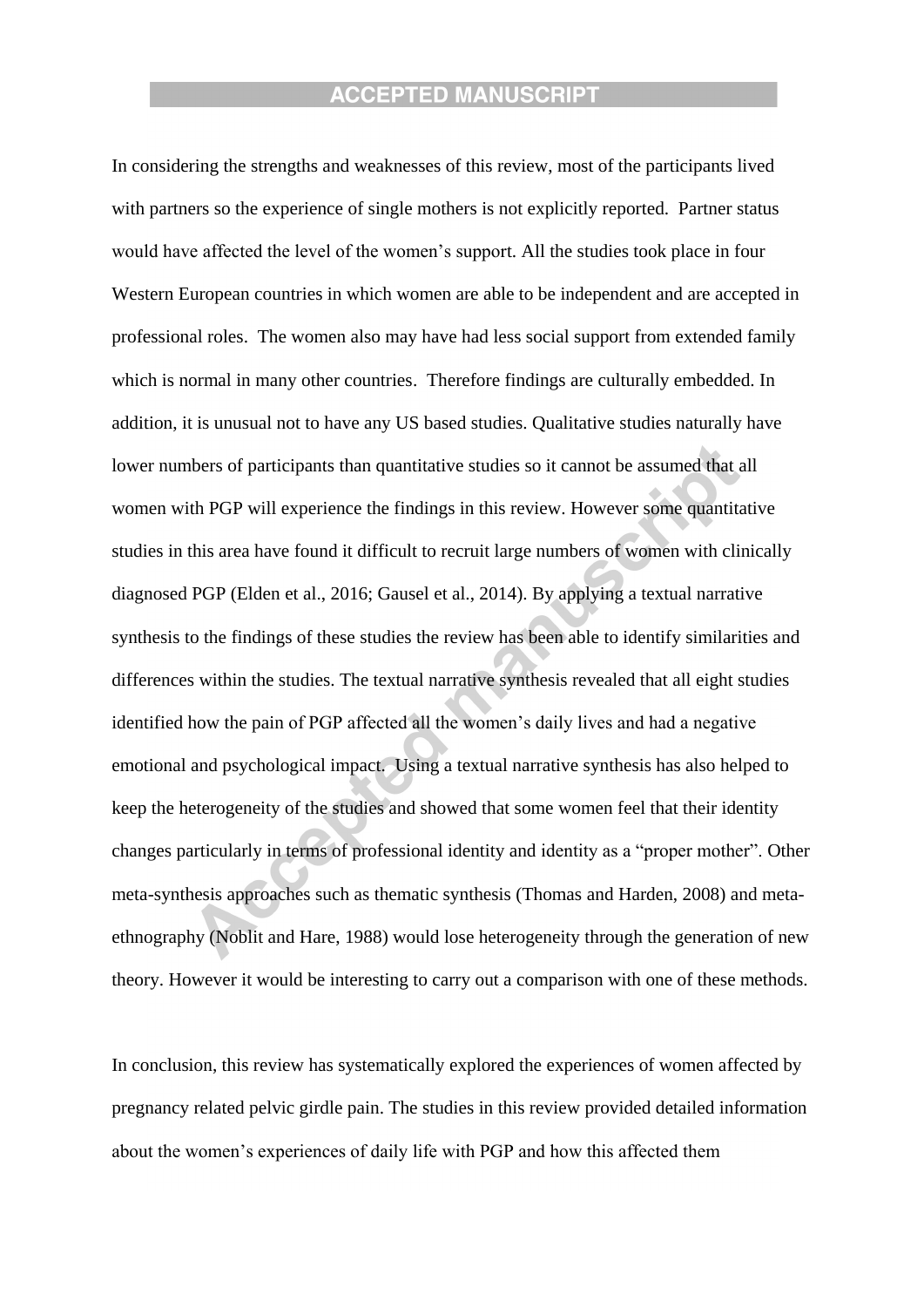In considering the strengths and weaknesses of this review, most of the participants lived with partners so the experience of single mothers is not explicitly reported. Partner status would have affected the level of the women's support. All the studies took place in four Western European countries in which women are able to be independent and are accepted in professional roles. The women also may have had less social support from extended family which is normal in many other countries. Therefore findings are culturally embedded. In addition, it is unusual not to have any US based studies. Qualitative studies naturally have lower numbers of participants than quantitative studies so it cannot be assumed that all women with PGP will experience the findings in this review. However some quantitative studies in this area have found it difficult to recruit large numbers of women with clinically diagnosed PGP (Elden et al., 2016; Gausel et al., 2014). By applying a textual narrative synthesis to the findings of these studies the review has been able to identify similarities and differences within the studies. The textual narrative synthesis revealed that all eight studies identified how the pain of PGP affected all the women's daily lives and had a negative emotional and psychological impact. Using a textual narrative synthesis has also helped to keep the heterogeneity of the studies and showed that some women feel that their identity changes particularly in terms of professional identity and identity as a "proper mother". Other meta-synthesis approaches such as thematic synthesis (Thomas and Harden, 2008) and metaethnography (Noblit and Hare, 1988) would lose heterogeneity through the generation of new theory. However it would be interesting to carry out a comparison with one of these methods.

In conclusion, this review has systematically explored the experiences of women affected by pregnancy related pelvic girdle pain. The studies in this review provided detailed information about the women's experiences of daily life with PGP and how this affected them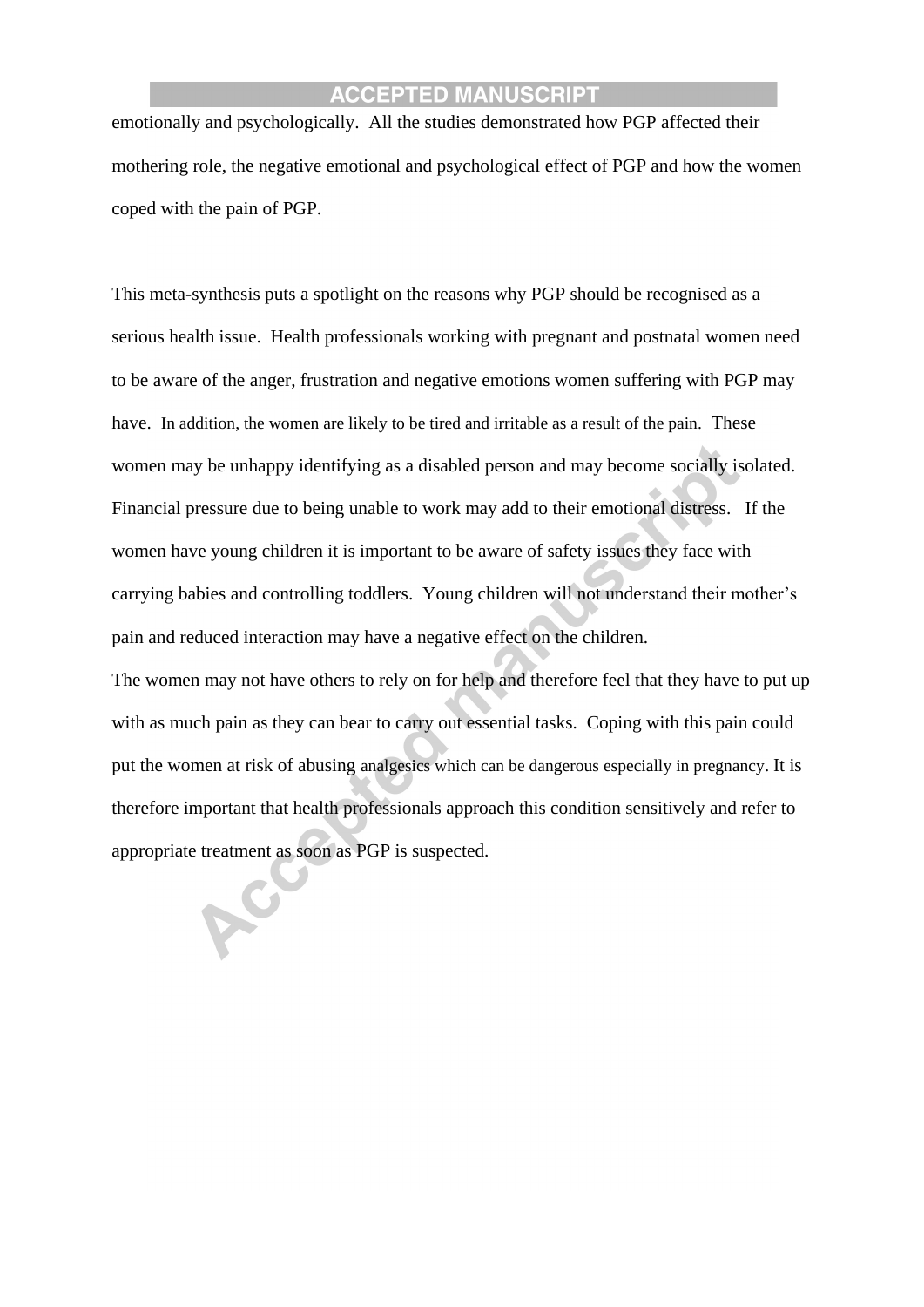emotionally and psychologically. All the studies demonstrated how PGP affected their mothering role, the negative emotional and psychological effect of PGP and how the women coped with the pain of PGP.

This meta-synthesis puts a spotlight on the reasons why PGP should be recognised as a serious health issue. Health professionals working with pregnant and postnatal women need to be aware of the anger, frustration and negative emotions women suffering with PGP may have. In addition, the women are likely to be tired and irritable as a result of the pain. These women may be unhappy identifying as a disabled person and may become socially isolated. Financial pressure due to being unable to work may add to their emotional distress. If the women have young children it is important to be aware of safety issues they face with carrying babies and controlling toddlers. Young children will not understand their mother's pain and reduced interaction may have a negative effect on the children.

The women may not have others to rely on for help and therefore feel that they have to put up with as much pain as they can bear to carry out essential tasks. Coping with this pain could put the women at risk of abusing analgesics which can be dangerous especially in pregnancy. It is therefore important that health professionals approach this condition sensitively and refer to appropriate treatment as soon as PGP is suspected.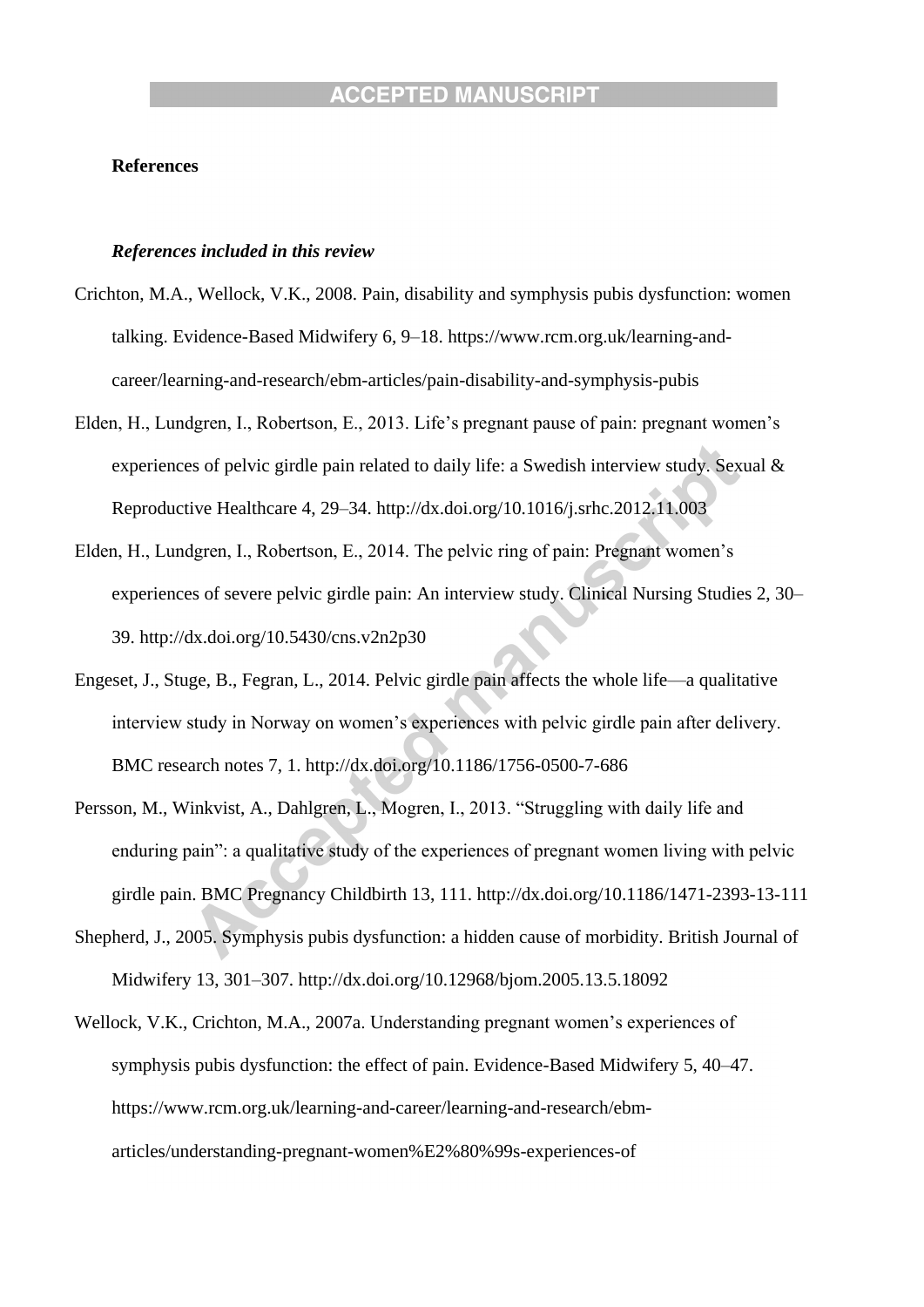#### **References**

#### *References included in this review*

- Crichton, M.A., Wellock, V.K., 2008. Pain, disability and symphysis pubis dysfunction: women talking. Evidence-Based Midwifery 6, 9–18. https://www.rcm.org.uk/learning-andcareer/learning-and-research/ebm-articles/pain-disability-and-symphysis-pubis
- Elden, H., Lundgren, I., Robertson, E., 2013. Life's pregnant pause of pain: pregnant women's experiences of pelvic girdle pain related to daily life: a Swedish interview study. Sexual & Reproductive Healthcare 4, 29–34. http://dx.doi.org/10.1016/j.srhc.2012.11.003
- Elden, H., Lundgren, I., Robertson, E., 2014. The pelvic ring of pain: Pregnant women's experiences of severe pelvic girdle pain: An interview study. Clinical Nursing Studies 2, 30– 39. http://dx.doi.org/10.5430/cns.v2n2p30
- Engeset, J., Stuge, B., Fegran, L., 2014. Pelvic girdle pain affects the whole life—a qualitative interview study in Norway on women's experiences with pelvic girdle pain after delivery. BMC research notes 7, 1. http://dx.doi.org/10.1186/1756-0500-7-686
- Persson, M., Winkvist, A., Dahlgren, L., Mogren, I., 2013. "Struggling with daily life and enduring pain": a qualitative study of the experiences of pregnant women living with pelvic girdle pain. BMC Pregnancy Childbirth 13, 111. http://dx.doi.org/10.1186/1471-2393-13-111
- Shepherd, J., 2005. Symphysis pubis dysfunction: a hidden cause of morbidity. British Journal of Midwifery 13, 301–307. http://dx.doi.org/10.12968/bjom.2005.13.5.18092
- Wellock, V.K., Crichton, M.A., 2007a. Understanding pregnant women's experiences of symphysis pubis dysfunction: the effect of pain. Evidence-Based Midwifery 5, 40–47. https://www.rcm.org.uk/learning-and-career/learning-and-research/ebmarticles/understanding-pregnant-women%E2%80%99s-experiences-of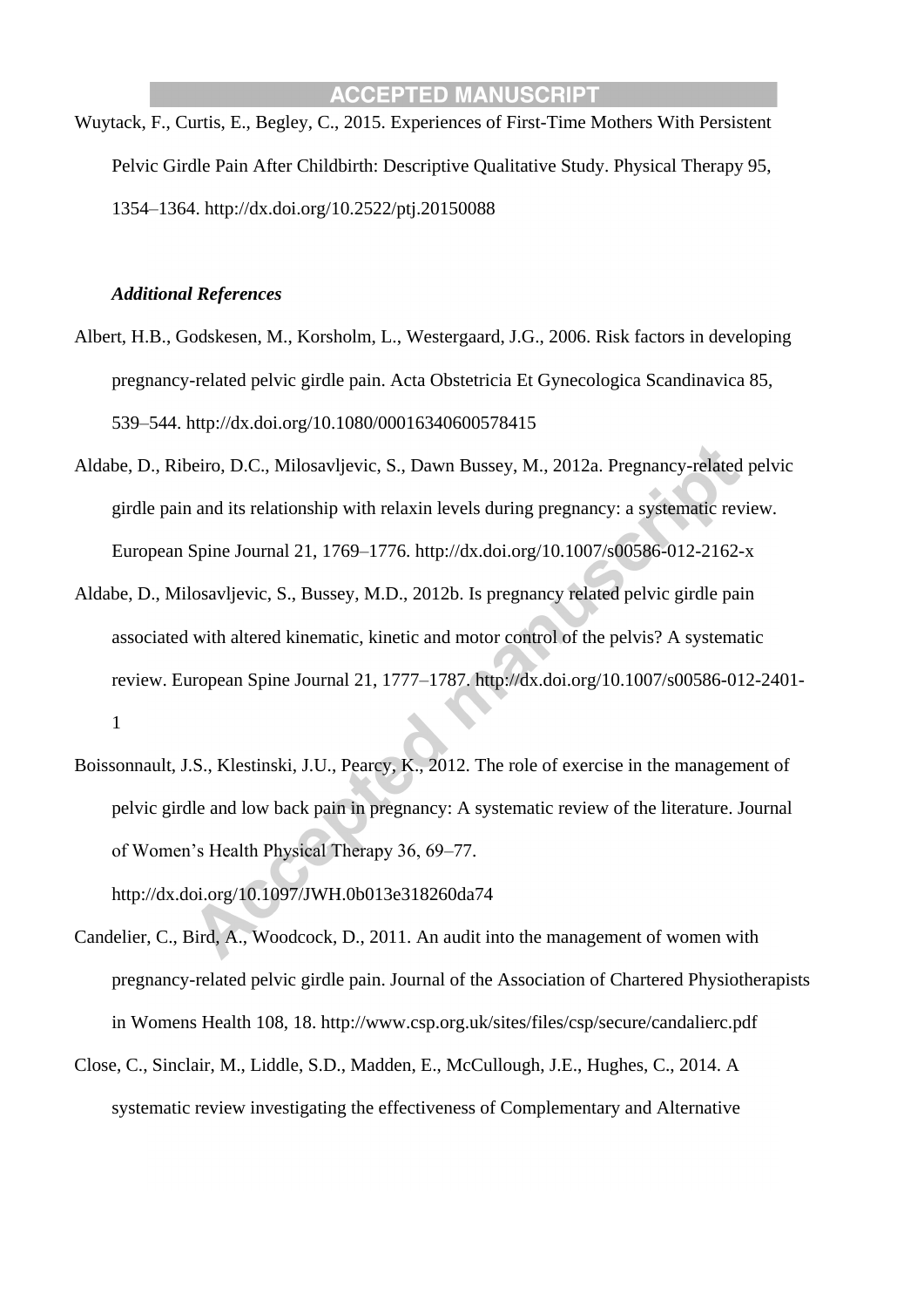Wuytack, F., Curtis, E., Begley, C., 2015. Experiences of First-Time Mothers With Persistent Pelvic Girdle Pain After Childbirth: Descriptive Qualitative Study. Physical Therapy 95, 1354–1364. http://dx.doi.org/10.2522/ptj.20150088

#### *Additional References*

- Albert, H.B., Godskesen, M., Korsholm, L., Westergaard, J.G., 2006. Risk factors in developing pregnancy-related pelvic girdle pain. Acta Obstetricia Et Gynecologica Scandinavica 85, 539–544. http://dx.doi.org/10.1080/00016340600578415
- Aldabe, D., Ribeiro, D.C., Milosavljevic, S., Dawn Bussey, M., 2012a. Pregnancy-related pelvic girdle pain and its relationship with relaxin levels during pregnancy: a systematic review. European Spine Journal 21, 1769–1776. http://dx.doi.org/10.1007/s00586-012-2162-x
- Aldabe, D., Milosavljevic, S., Bussey, M.D., 2012b. Is pregnancy related pelvic girdle pain associated with altered kinematic, kinetic and motor control of the pelvis? A systematic review. European Spine Journal 21, 1777–1787. http://dx.doi.org/10.1007/s00586-012-2401- 1
- Boissonnault, J.S., Klestinski, J.U., Pearcy, K., 2012. The role of exercise in the management of pelvic girdle and low back pain in pregnancy: A systematic review of the literature. Journal of Women's Health Physical Therapy 36, 69–77.

http://dx.doi.org/10.1097/JWH.0b013e318260da74

- Candelier, C., Bird, A., Woodcock, D., 2011. An audit into the management of women with pregnancy-related pelvic girdle pain. Journal of the Association of Chartered Physiotherapists in Womens Health 108, 18. http://www.csp.org.uk/sites/files/csp/secure/candalierc.pdf
- Close, C., Sinclair, M., Liddle, S.D., Madden, E., McCullough, J.E., Hughes, C., 2014. A systematic review investigating the effectiveness of Complementary and Alternative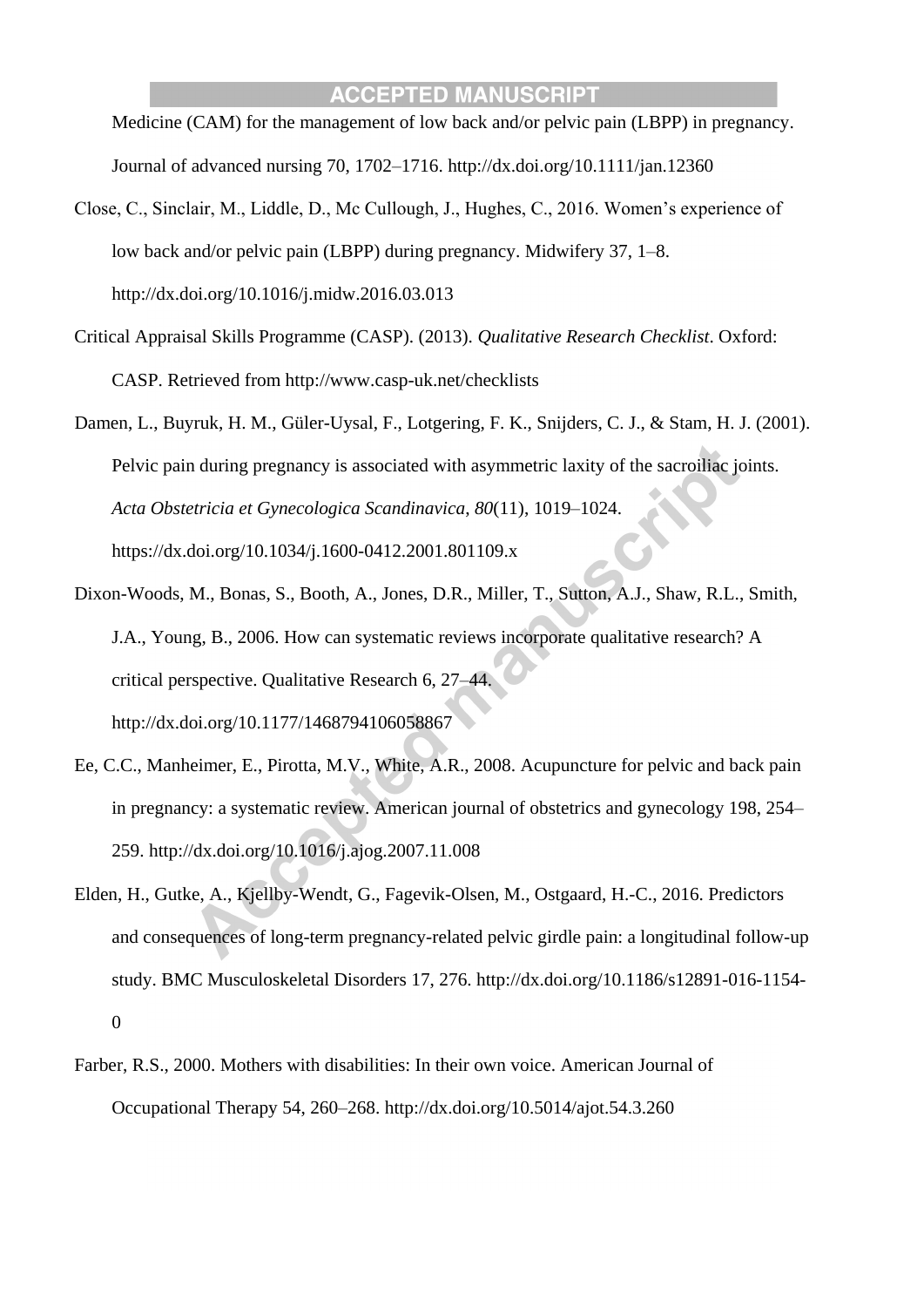Medicine (CAM) for the management of low back and/or pelvic pain (LBPP) in pregnancy. Journal of advanced nursing 70, 1702–1716. http://dx.doi.org/10.1111/jan.12360

- Close, C., Sinclair, M., Liddle, D., Mc Cullough, J., Hughes, C., 2016. Women's experience of low back and/or pelvic pain (LBPP) during pregnancy. Midwifery 37, 1–8. http://dx.doi.org/10.1016/j.midw.2016.03.013
- Critical Appraisal Skills Programme (CASP). (2013). *Qualitative Research Checklist*. Oxford: CASP. Retrieved from http://www.casp-uk.net/checklists
- Damen, L., Buyruk, H. M., Güler-Uysal, F., Lotgering, F. K., Snijders, C. J., & Stam, H. J. (2001). Pelvic pain during pregnancy is associated with asymmetric laxity of the sacroiliac joints. *Acta Obstetricia et Gynecologica Scandinavica*, *80*(11), 1019–1024. https://dx.doi.org/10.1034/j.1600-0412.2001.801109.x
- Dixon-Woods, M., Bonas, S., Booth, A., Jones, D.R., Miller, T., Sutton, A.J., Shaw, R.L., Smith, J.A., Young, B., 2006. How can systematic reviews incorporate qualitative research? A critical perspective. Qualitative Research 6, 27–44. http://dx.doi.org/10.1177/1468794106058867
- Ee, C.C., Manheimer, E., Pirotta, M.V., White, A.R., 2008. Acupuncture for pelvic and back pain in pregnancy: a systematic review. American journal of obstetrics and gynecology 198, 254– 259. http://dx.doi.org/10.1016/j.ajog.2007.11.008
- Elden, H., Gutke, A., Kjellby-Wendt, G., Fagevik-Olsen, M., Ostgaard, H.-C., 2016. Predictors and consequences of long-term pregnancy-related pelvic girdle pain: a longitudinal follow-up study. BMC Musculoskeletal Disorders 17, 276. http://dx.doi.org/10.1186/s12891-016-1154- 0
- Farber, R.S., 2000. Mothers with disabilities: In their own voice. American Journal of Occupational Therapy 54, 260–268. http://dx.doi.org/10.5014/ajot.54.3.260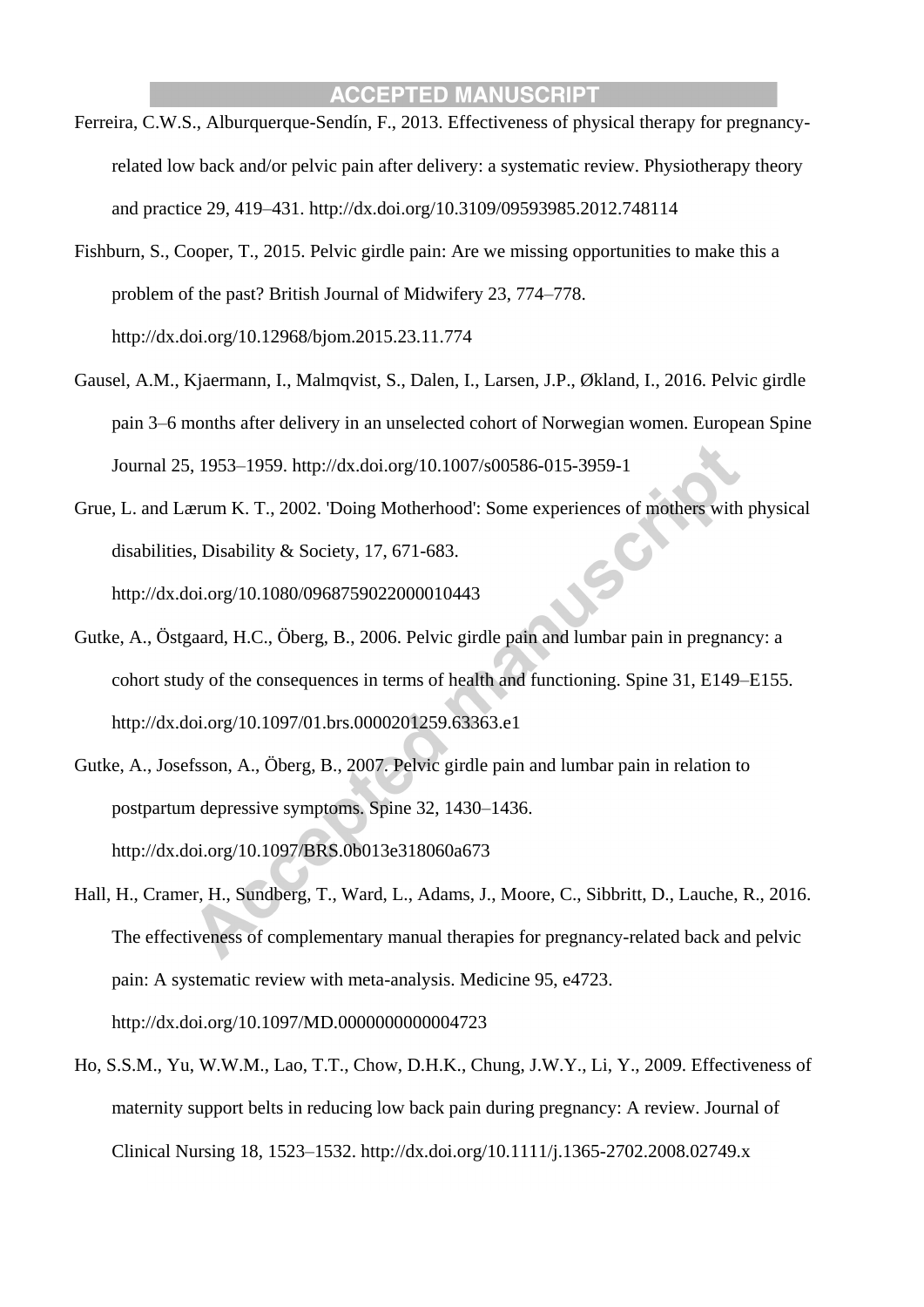- Ferreira, C.W.S., Alburquerque-Sendín, F., 2013. Effectiveness of physical therapy for pregnancyrelated low back and/or pelvic pain after delivery: a systematic review. Physiotherapy theory and practice 29, 419–431. http://dx.doi.org/10.3109/09593985.2012.748114
- Fishburn, S., Cooper, T., 2015. Pelvic girdle pain: Are we missing opportunities to make this a problem of the past? British Journal of Midwifery 23, 774–778. http://dx.doi.org/10.12968/bjom.2015.23.11.774
- Gausel, A.M., Kjaermann, I., Malmqvist, S., Dalen, I., Larsen, J.P., Økland, I., 2016. Pelvic girdle pain 3–6 months after delivery in an unselected cohort of Norwegian women. European Spine Journal 25, 1953–1959. http://dx.doi.org/10.1007/s00586-015-3959-1
- Grue, L. and Lærum K. T., 2002. 'Doing Motherhood': Some experiences of mothers with physical disabilities, Disability & Society*,* 17, 671-683.

http://dx.doi.org/10.1080/0968759022000010443

- Gutke, A., Östgaard, H.C., Öberg, B., 2006. Pelvic girdle pain and lumbar pain in pregnancy: a cohort study of the consequences in terms of health and functioning. Spine 31, E149–E155. http://dx.doi.org/10.1097/01.brs.0000201259.63363.e1
- Gutke, A., Josefsson, A., Öberg, B., 2007. Pelvic girdle pain and lumbar pain in relation to postpartum depressive symptoms. Spine 32, 1430–1436. http://dx.doi.org/10.1097/BRS.0b013e318060a673
- Hall, H., Cramer, H., Sundberg, T., Ward, L., Adams, J., Moore, C., Sibbritt, D., Lauche, R., 2016. The effectiveness of complementary manual therapies for pregnancy-related back and pelvic pain: A systematic review with meta-analysis. Medicine 95, e4723.

http://dx.doi.org/10.1097/MD.0000000000004723

Ho, S.S.M., Yu, W.W.M., Lao, T.T., Chow, D.H.K., Chung, J.W.Y., Li, Y., 2009. Effectiveness of maternity support belts in reducing low back pain during pregnancy: A review. Journal of Clinical Nursing 18, 1523–1532. http://dx.doi.org/10.1111/j.1365-2702.2008.02749.x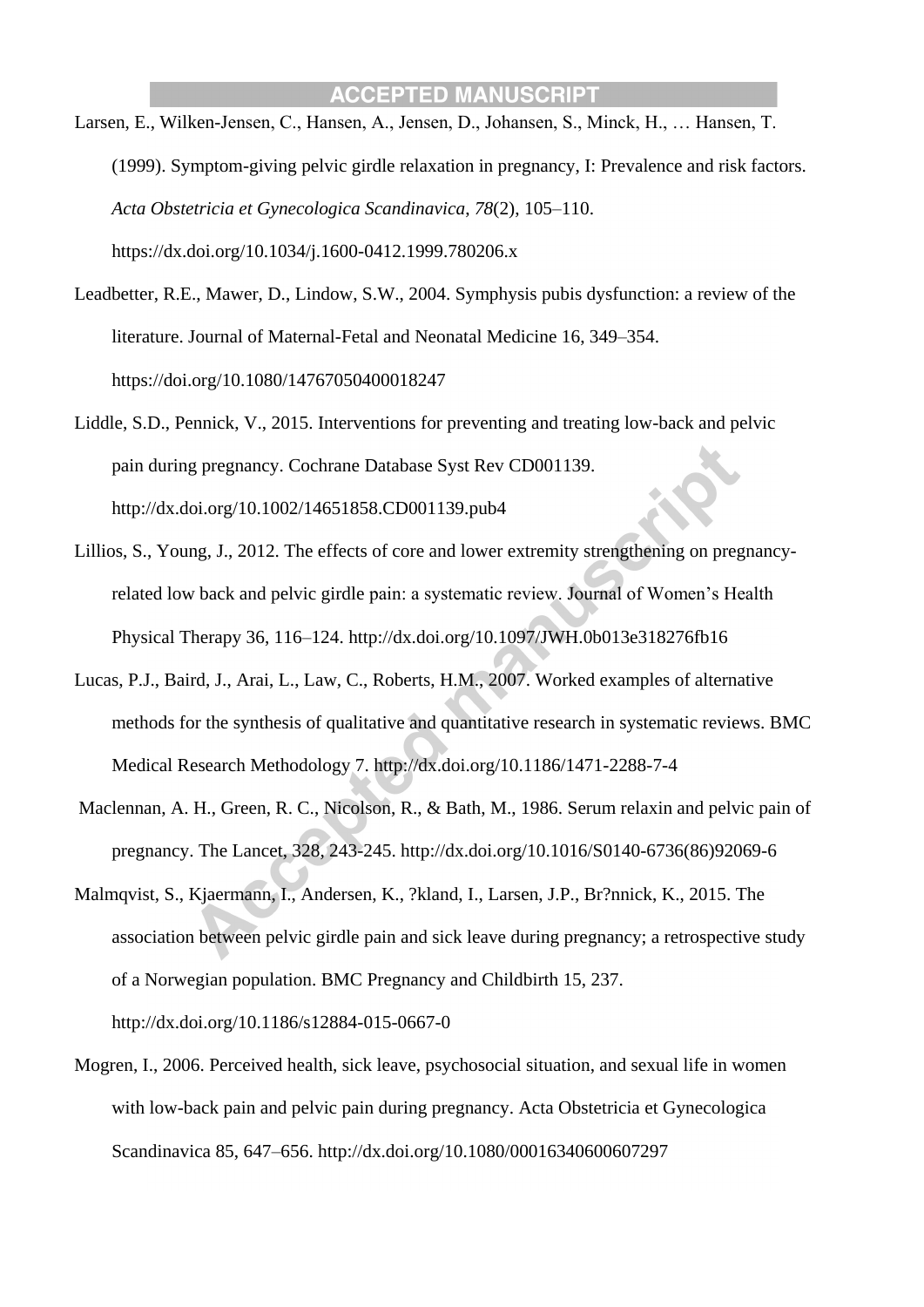- Larsen, E., Wilken-Jensen, C., Hansen, A., Jensen, D., Johansen, S., Minck, H., … Hansen, T. (1999). Symptom-giving pelvic girdle relaxation in pregnancy, I: Prevalence and risk factors. *Acta Obstetricia et Gynecologica Scandinavica*, *78*(2), 105–110. https://dx.doi.org/10.1034/j.1600-0412.1999.780206.x
- Leadbetter, R.E., Mawer, D., Lindow, S.W., 2004. Symphysis pubis dysfunction: a review of the literature. Journal of Maternal-Fetal and Neonatal Medicine 16, 349–354. https://doi.org/10.1080/14767050400018247
- Liddle, S.D., Pennick, V., 2015. Interventions for preventing and treating low-back and pelvic pain during pregnancy. Cochrane Database Syst Rev CD001139. http://dx.doi.org/10.1002/14651858.CD001139.pub4
- Lillios, S., Young, J., 2012. The effects of core and lower extremity strengthening on pregnancyrelated low back and pelvic girdle pain: a systematic review. Journal of Women's Health Physical Therapy 36, 116–124. http://dx.doi.org/10.1097/JWH.0b013e318276fb16
- Lucas, P.J., Baird, J., Arai, L., Law, C., Roberts, H.M., 2007. Worked examples of alternative methods for the synthesis of qualitative and quantitative research in systematic reviews. BMC Medical Research Methodology 7. http://dx.doi.org/10.1186/1471-2288-7-4
- Maclennan, A. H., Green, R. C., Nicolson, R., & Bath, M., 1986. Serum relaxin and pelvic pain of pregnancy. The Lancet, 328, 243-245. http://dx.doi.org/10.1016/S0140-6736(86)92069-6
- Malmqvist, S., Kjaermann, I., Andersen, K., ?kland, I., Larsen, J.P., Br?nnick, K., 2015. The association between pelvic girdle pain and sick leave during pregnancy; a retrospective study of a Norwegian population. BMC Pregnancy and Childbirth 15, 237.

http://dx.doi.org/10.1186/s12884-015-0667-0

Mogren, I., 2006. Perceived health, sick leave, psychosocial situation, and sexual life in women with low-back pain and pelvic pain during pregnancy. Acta Obstetricia et Gynecologica Scandinavica 85, 647–656. http://dx.doi.org/10.1080/00016340600607297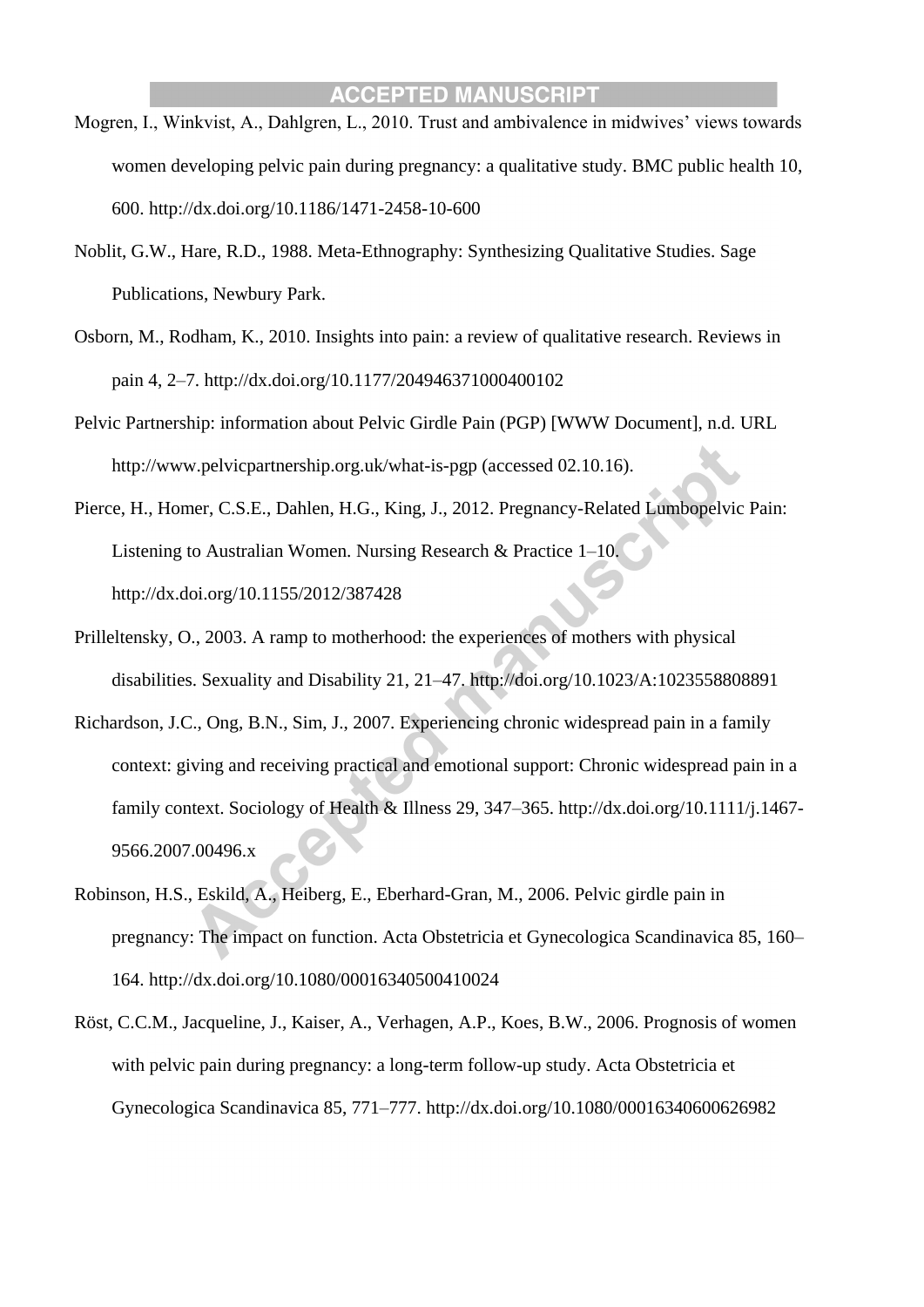- Mogren, I., Winkvist, A., Dahlgren, L., 2010. Trust and ambivalence in midwives' views towards women developing pelvic pain during pregnancy: a qualitative study. BMC public health 10, 600. http://dx.doi.org/10.1186/1471-2458-10-600
- Noblit, G.W., Hare, R.D., 1988. Meta-Ethnography: Synthesizing Qualitative Studies. Sage Publications, Newbury Park.
- Osborn, M., Rodham, K., 2010. Insights into pain: a review of qualitative research. Reviews in pain 4, 2–7. http://dx.doi.org/10.1177/204946371000400102
- Pelvic Partnership: information about Pelvic Girdle Pain (PGP) [WWW Document], n.d. URL http://www.pelvicpartnership.org.uk/what-is-pgp (accessed 02.10.16).
- Pierce, H., Homer, C.S.E., Dahlen, H.G., King, J., 2012. Pregnancy-Related Lumbopelvic Pain: Listening to Australian Women. Nursing Research & Practice 1–10. http://dx.doi.org/10.1155/2012/387428
- Prilleltensky, O., 2003. A ramp to motherhood: the experiences of mothers with physical disabilities. Sexuality and Disability 21, 21–47. http://doi.org/10.1023/A:1023558808891
- Richardson, J.C., Ong, B.N., Sim, J., 2007. Experiencing chronic widespread pain in a family context: giving and receiving practical and emotional support: Chronic widespread pain in a family context. Sociology of Health & Illness 29, 347–365. http://dx.doi.org/10.1111/j.1467- 9566.2007.00496.x
- Robinson, H.S., Eskild, A., Heiberg, E., Eberhard-Gran, M., 2006. Pelvic girdle pain in pregnancy: The impact on function. Acta Obstetricia et Gynecologica Scandinavica 85, 160– 164. http://dx.doi.org/10.1080/00016340500410024
- Röst, C.C.M., Jacqueline, J., Kaiser, A., Verhagen, A.P., Koes, B.W., 2006. Prognosis of women with pelvic pain during pregnancy: a long-term follow-up study. Acta Obstetricia et Gynecologica Scandinavica 85, 771–777. http://dx.doi.org/10.1080/00016340600626982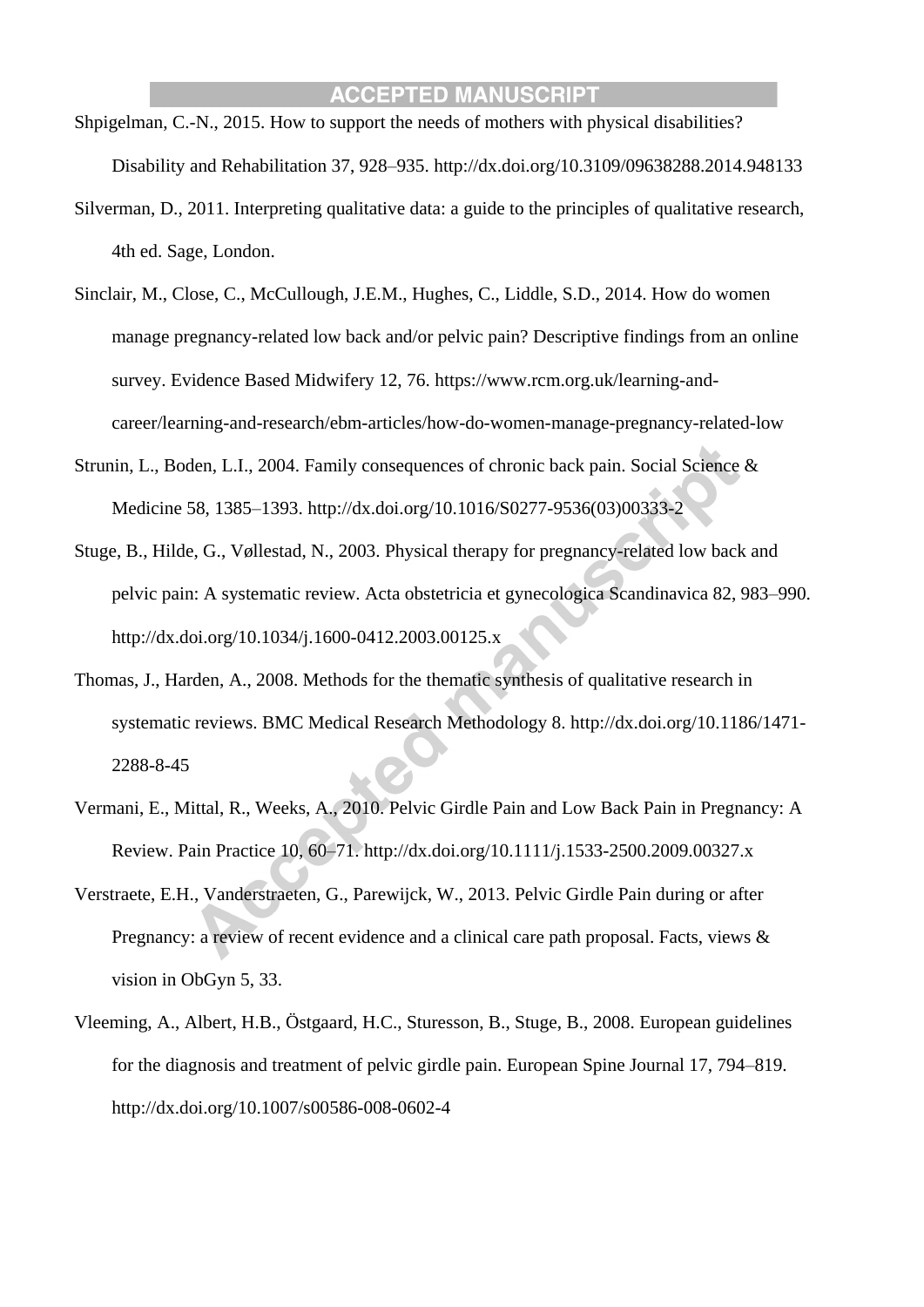- Shpigelman, C.-N., 2015. How to support the needs of mothers with physical disabilities? Disability and Rehabilitation 37, 928–935. http://dx.doi.org/10.3109/09638288.2014.948133
- Silverman, D., 2011. Interpreting qualitative data: a guide to the principles of qualitative research, 4th ed. Sage, London.
- Sinclair, M., Close, C., McCullough, J.E.M., Hughes, C., Liddle, S.D., 2014. How do women manage pregnancy-related low back and/or pelvic pain? Descriptive findings from an online survey. Evidence Based Midwifery 12, 76. https://www.rcm.org.uk/learning-andcareer/learning-and-research/ebm-articles/how-do-women-manage-pregnancy-related-low
- Strunin, L., Boden, L.I., 2004. Family consequences of chronic back pain. Social Science & Medicine 58, 1385–1393. http://dx.doi.org/10.1016/S0277-9536(03)00333-2
- Stuge, B., Hilde, G., Vøllestad, N., 2003. Physical therapy for pregnancy-related low back and pelvic pain: A systematic review. Acta obstetricia et gynecologica Scandinavica 82, 983–990. http://dx.doi.org/10.1034/j.1600-0412.2003.00125.x
- Thomas, J., Harden, A., 2008. Methods for the thematic synthesis of qualitative research in systematic reviews. BMC Medical Research Methodology 8. http://dx.doi.org/10.1186/1471- 2288-8-45
- Vermani, E., Mittal, R., Weeks, A., 2010. Pelvic Girdle Pain and Low Back Pain in Pregnancy: A Review. Pain Practice 10, 60–71. http://dx.doi.org/10.1111/j.1533-2500.2009.00327.x
- Verstraete, E.H., Vanderstraeten, G., Parewijck, W., 2013. Pelvic Girdle Pain during or after Pregnancy: a review of recent evidence and a clinical care path proposal. Facts, views & vision in ObGyn 5, 33.
- Vleeming, A., Albert, H.B., Östgaard, H.C., Sturesson, B., Stuge, B., 2008. European guidelines for the diagnosis and treatment of pelvic girdle pain. European Spine Journal 17, 794–819. http://dx.doi.org/10.1007/s00586-008-0602-4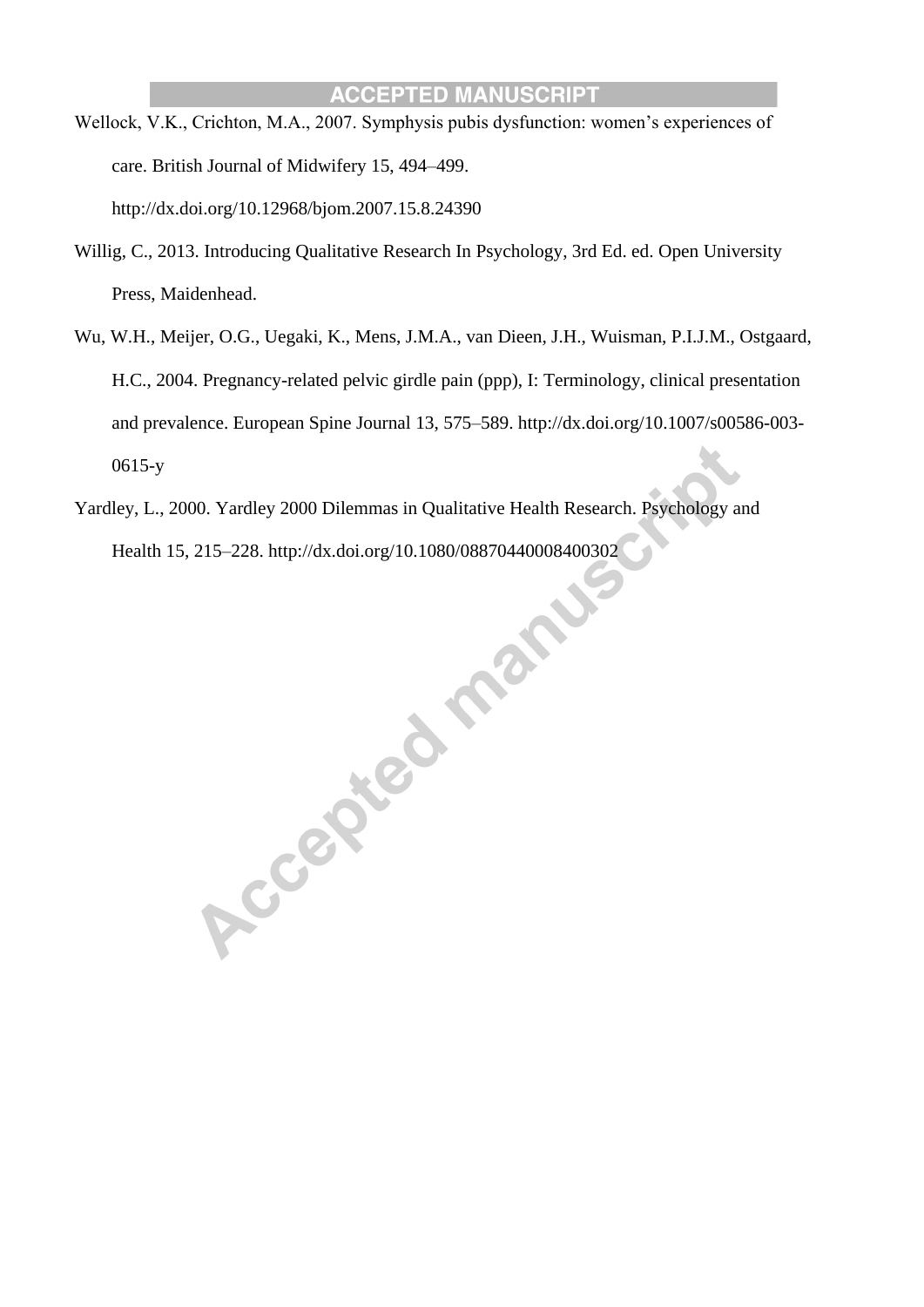- Wellock, V.K., Crichton, M.A., 2007. Symphysis pubis dysfunction: women's experiences of care. British Journal of Midwifery 15, 494–499. http://dx.doi.org/10.12968/bjom.2007.15.8.24390
- Willig, C., 2013. Introducing Qualitative Research In Psychology, 3rd Ed. ed. Open University Press, Maidenhead.
- Wu, W.H., Meijer, O.G., Uegaki, K., Mens, J.M.A., van Dieen, J.H., Wuisman, P.I.J.M., Ostgaard, H.C., 2004. Pregnancy-related pelvic girdle pain (ppp), I: Terminology, clinical presentation and prevalence. European Spine Journal 13, 575–589. http://dx.doi.org/10.1007/s00586-003- 0615-y
- Health 15, 215–228. http://dx.doi.org/10.1080/08870440008400302

Yardley, L., 2000. Yardley 2000 Dilemmas in Qualitative Health Research. Psychology and<br>Health 15, 215–228. http://dx.doi.org/10.1080/08870440008400302<br>And Mark Control of the Control of the Control of the Control of the C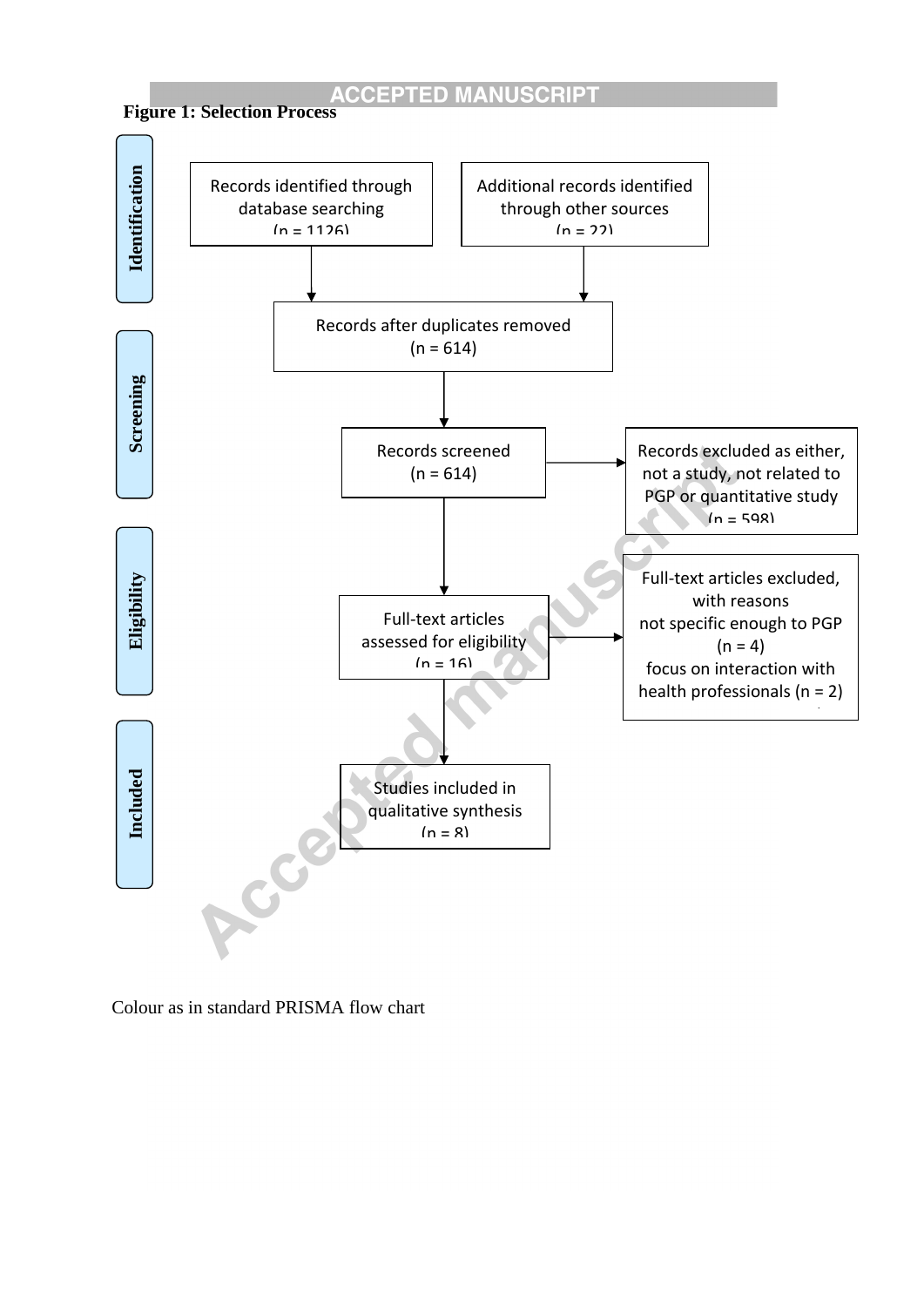



Colour as in standard PRISMA flow chart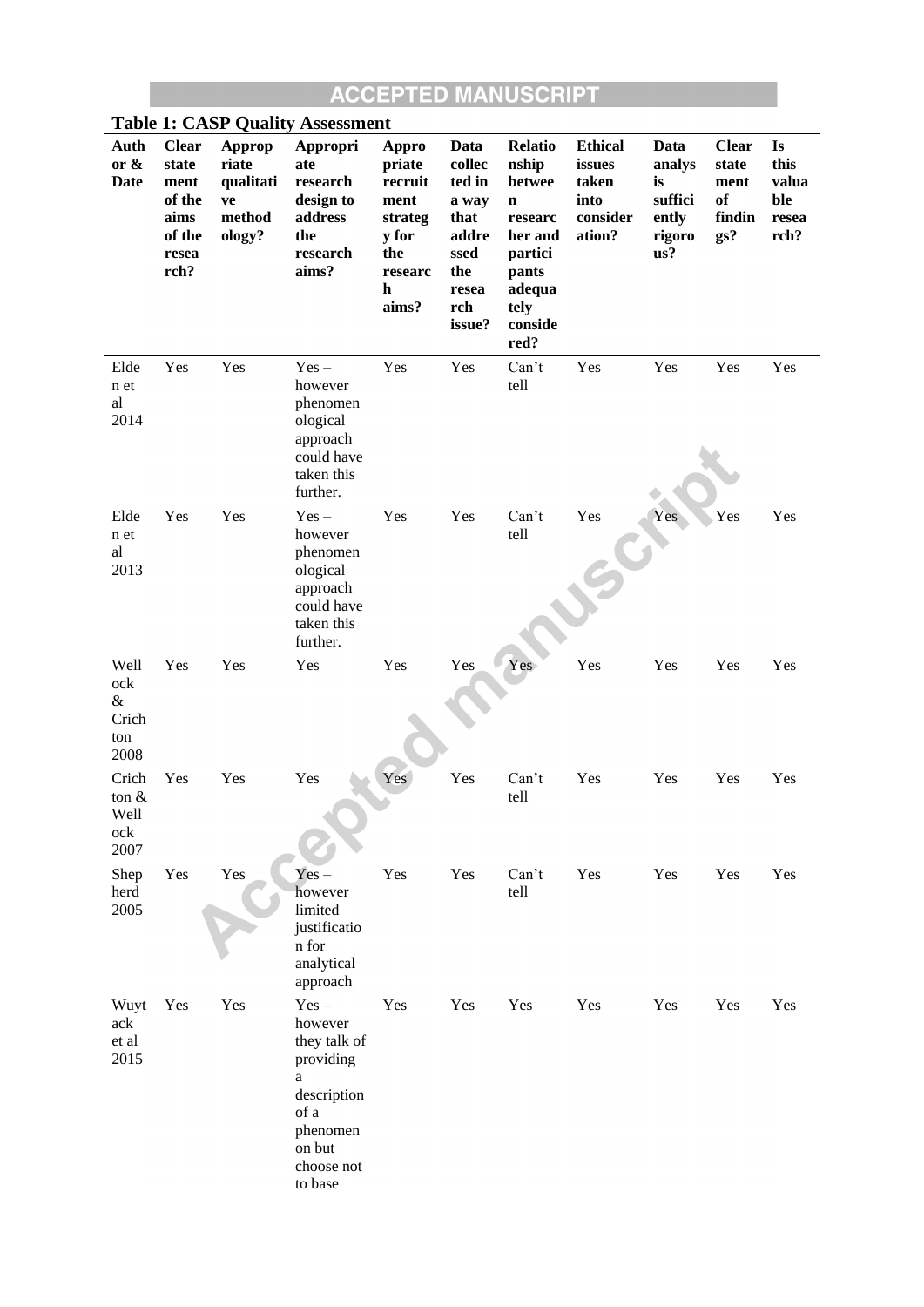| <b>Table 1: CASP Quality Assessment</b>     |                                                                            |                                                        |                                                                                                                            |                                                                                               |                                                                                             |                                                                                                                                 |                                                                 |                                                           |                                                      |                                             |
|---------------------------------------------|----------------------------------------------------------------------------|--------------------------------------------------------|----------------------------------------------------------------------------------------------------------------------------|-----------------------------------------------------------------------------------------------|---------------------------------------------------------------------------------------------|---------------------------------------------------------------------------------------------------------------------------------|-----------------------------------------------------------------|-----------------------------------------------------------|------------------------------------------------------|---------------------------------------------|
| Auth<br>or $\&$<br>Date                     | <b>Clear</b><br>state<br>ment<br>of the<br>aims<br>of the<br>resea<br>rch? | Approp<br>riate<br>qualitati<br>ve<br>method<br>ology? | Appropri<br>ate<br>research<br>design to<br>address<br>the<br>research<br>aims?                                            | <b>Appro</b><br>priate<br>recruit<br>ment<br>strateg<br>y for<br>the<br>researc<br>h<br>aims? | Data<br>collec<br>ted in<br>a way<br>that<br>addre<br>ssed<br>the<br>resea<br>rch<br>issue? | <b>Relatio</b><br>nship<br>betwee<br>$\mathbf n$<br>researc<br>her and<br>partici<br>pants<br>adequa<br>tely<br>conside<br>red? | <b>Ethical</b><br>issues<br>taken<br>into<br>consider<br>ation? | Data<br>analys<br>is<br>suffici<br>ently<br>rigoro<br>us? | <b>Clear</b><br>state<br>ment<br>of<br>findin<br>gs? | Is<br>this<br>valua<br>ble<br>resea<br>rch? |
| Elde<br>n et<br>al<br>2014                  | Yes                                                                        | Yes                                                    | $Yes -$<br>however<br>phenomen<br>ological<br>approach<br>could have<br>taken this<br>further.                             | Yes                                                                                           | Yes                                                                                         | Can't<br>tell                                                                                                                   | Yes                                                             | Yes                                                       | Yes                                                  | Yes                                         |
| Elde<br>n et<br>al<br>2013                  | Yes                                                                        | Yes                                                    | $Yes -$<br>however<br>phenomen<br>ological<br>approach<br>could have<br>taken this<br>further.                             | Yes                                                                                           | Yes                                                                                         | Can't<br>tell                                                                                                                   | Yes                                                             | Yes                                                       | Yes                                                  | Yes                                         |
| Well<br>ock<br>$\&$<br>Crich<br>ton<br>2008 | Yes                                                                        | Yes                                                    | Yes                                                                                                                        | Yes                                                                                           | Yes                                                                                         | Yes                                                                                                                             | Yes                                                             | Yes                                                       | Yes                                                  | Yes                                         |
| Crich<br>ton $&$<br>Well<br>ock<br>2007     | Yes                                                                        | Yes                                                    | Yes                                                                                                                        | Yes                                                                                           | Yes                                                                                         | Can't<br>tell                                                                                                                   | Yes                                                             | Yes                                                       | Yes                                                  | Yes                                         |
| Shep<br>herd<br>2005                        | Yes                                                                        | Yes                                                    | $Yes -$<br>however<br>limited<br>justificatio<br>n for<br>analytical<br>approach                                           | Yes                                                                                           | Yes                                                                                         | Can't<br>tell                                                                                                                   | Yes                                                             | Yes                                                       | Yes                                                  | Yes                                         |
| Wuyt<br>ack<br>et al<br>2015                | Yes                                                                        | Yes                                                    | $Yes -$<br>however<br>they talk of<br>providing<br>a<br>description<br>of a<br>phenomen<br>on but<br>choose not<br>to base | Yes                                                                                           | Yes                                                                                         | Yes                                                                                                                             | Yes                                                             | Yes                                                       | Yes                                                  | Yes                                         |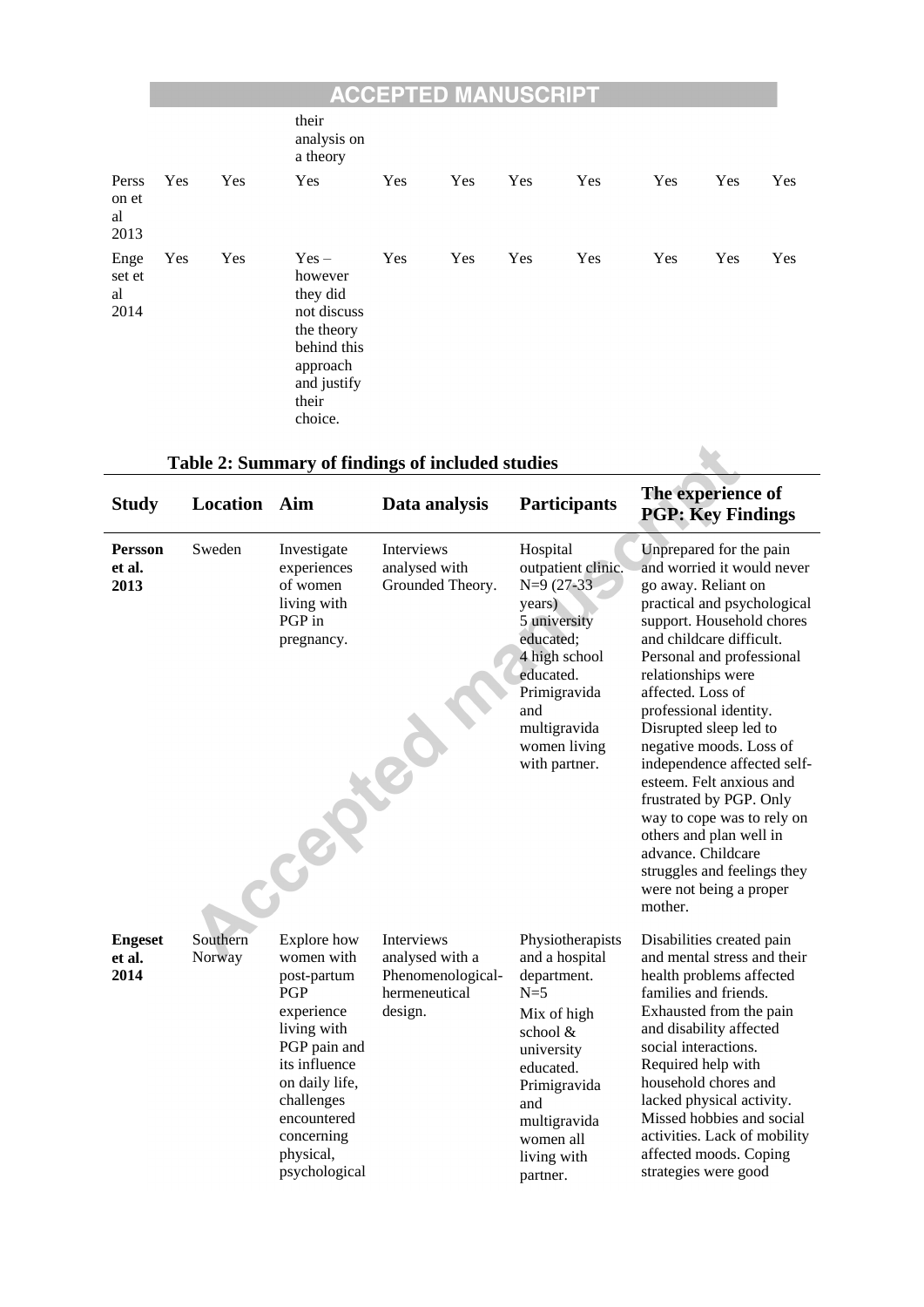## **EXAMPLE ACCEPTED MANUSCRIPT**

|                              |     |     | their<br>analysis on<br>a theory                                                                                          |     |     |     |     |     |     |     |
|------------------------------|-----|-----|---------------------------------------------------------------------------------------------------------------------------|-----|-----|-----|-----|-----|-----|-----|
| Perss<br>on et<br>al<br>2013 | Yes | Yes | Yes                                                                                                                       | Yes | Yes | Yes | Yes | Yes | Yes | Yes |
| Enge<br>set et<br>al<br>2014 | Yes | Yes | $Yes -$<br>however<br>they did<br>not discuss<br>the theory<br>behind this<br>approach<br>and justify<br>their<br>choice. | Yes | Yes | Yes | Yes | Yes | Yes | Yes |

# **Table 2: Summary of findings of included studies**

| <b>Study</b>                     | <b>Location</b> Aim |                                                                                                                                                                                                          | Data analysis                                                                  | <b>Participants</b>                                                                                                                                                                             | The experience of<br><b>PGP: Key Findings</b>                                                                                                                                                                                                                                                                                                                                                                                                                                                                                                                         |
|----------------------------------|---------------------|----------------------------------------------------------------------------------------------------------------------------------------------------------------------------------------------------------|--------------------------------------------------------------------------------|-------------------------------------------------------------------------------------------------------------------------------------------------------------------------------------------------|-----------------------------------------------------------------------------------------------------------------------------------------------------------------------------------------------------------------------------------------------------------------------------------------------------------------------------------------------------------------------------------------------------------------------------------------------------------------------------------------------------------------------------------------------------------------------|
| <b>Persson</b><br>et al.<br>2013 | Sweden              | Investigate<br>experiences<br>of women<br>living with<br>PGP in<br>pregnancy.                                                                                                                            | Interviews<br>analysed with<br>Grounded Theory.                                | Hospital<br>outpatient clinic.<br>$N=9(27-33)$<br>years)<br>5 university<br>educated;<br>4 high school<br>educated.<br>Primigravida<br>and<br>multigravida<br>women living<br>with partner.     | Unprepared for the pain<br>and worried it would never<br>go away. Reliant on<br>practical and psychological<br>support. Household chores<br>and childcare difficult.<br>Personal and professional<br>relationships were<br>affected. Loss of<br>professional identity.<br>Disrupted sleep led to<br>negative moods. Loss of<br>independence affected self-<br>esteem. Felt anxious and<br>frustrated by PGP. Only<br>way to cope was to rely on<br>others and plan well in<br>advance. Childcare<br>struggles and feelings they<br>were not being a proper<br>mother. |
| <b>Engeset</b><br>et al.<br>2014 | Southern<br>Norway  | Explore how<br>women with<br>post-partum<br>PGP<br>experience<br>living with<br>PGP pain and<br>its influence<br>on daily life,<br>challenges<br>encountered<br>concerning<br>physical,<br>psychological | Interviews<br>analysed with a<br>Phenomenological-<br>hermeneutical<br>design. | Physiotherapists<br>and a hospital<br>department.<br>$N=5$<br>Mix of high<br>school &<br>university<br>educated.<br>Primigravida<br>and<br>multigravida<br>women all<br>living with<br>partner. | Disabilities created pain<br>and mental stress and their<br>health problems affected<br>families and friends.<br>Exhausted from the pain<br>and disability affected<br>social interactions.<br>Required help with<br>household chores and<br>lacked physical activity.<br>Missed hobbies and social<br>activities. Lack of mobility<br>affected moods. Coping<br>strategies were good                                                                                                                                                                                 |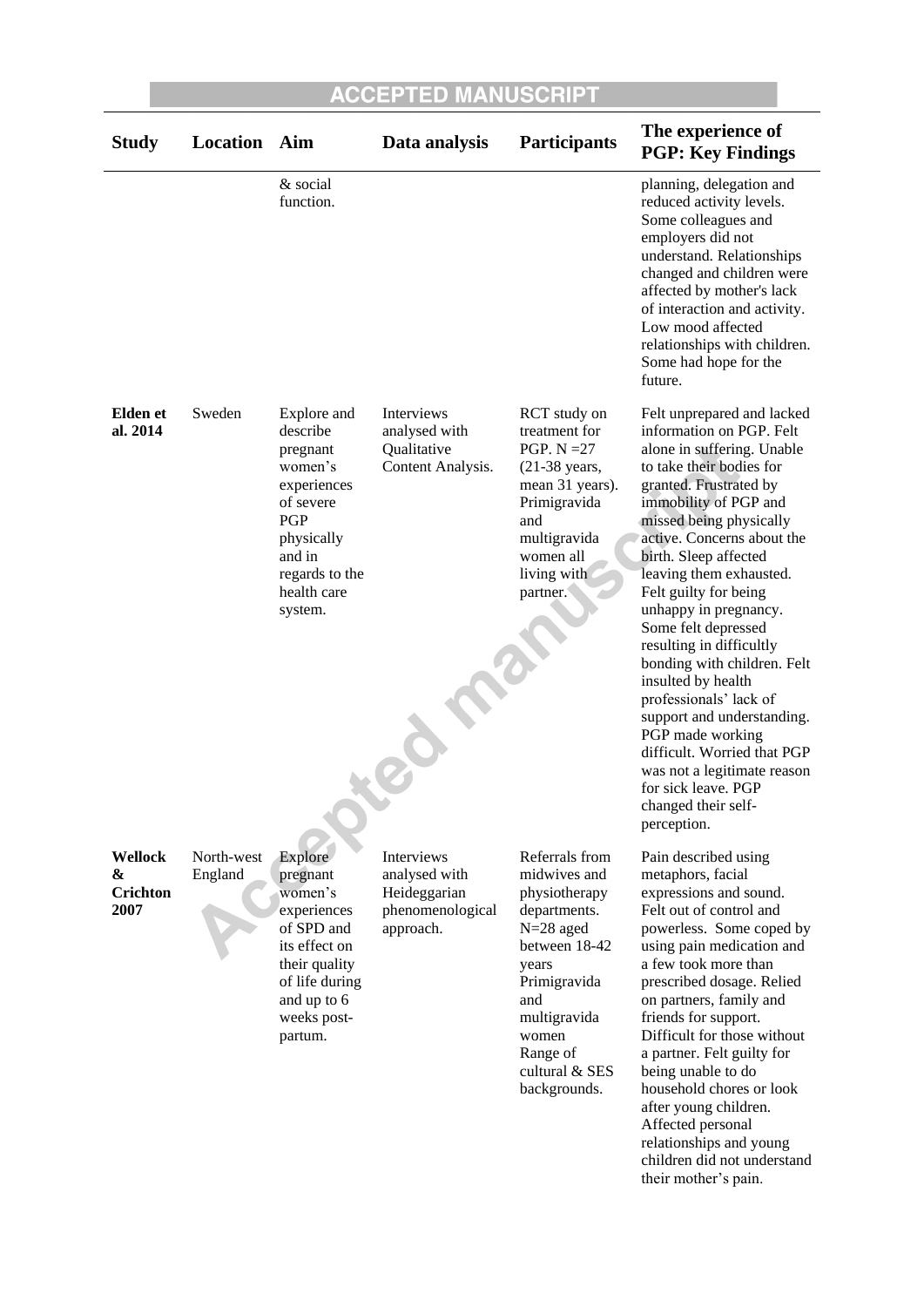| <b>Study</b>                     | Location              | Aim                                                                                                                                                      | Data analysis                                                                | <b>Participants</b>                                                                                                                                                                                    | The experience of<br><b>PGP: Key Findings</b>                                                                                                                                                                                                                                                                                                                                                                                                                                                                                                                                                                                                     |
|----------------------------------|-----------------------|----------------------------------------------------------------------------------------------------------------------------------------------------------|------------------------------------------------------------------------------|--------------------------------------------------------------------------------------------------------------------------------------------------------------------------------------------------------|---------------------------------------------------------------------------------------------------------------------------------------------------------------------------------------------------------------------------------------------------------------------------------------------------------------------------------------------------------------------------------------------------------------------------------------------------------------------------------------------------------------------------------------------------------------------------------------------------------------------------------------------------|
|                                  |                       | & social<br>function.                                                                                                                                    |                                                                              |                                                                                                                                                                                                        | planning, delegation and<br>reduced activity levels.<br>Some colleagues and<br>employers did not<br>understand. Relationships<br>changed and children were<br>affected by mother's lack<br>of interaction and activity.<br>Low mood affected<br>relationships with children.<br>Some had hope for the<br>future.                                                                                                                                                                                                                                                                                                                                  |
| <b>Elden</b> et<br>al. 2014      | Sweden                | Explore and<br>describe<br>pregnant<br>women's<br>experiences<br>of severe<br>PGP<br>physically<br>and in<br>regards to the<br>health care<br>system.    | Interviews<br>analysed with<br>Qualitative<br>Content Analysis.              | <b>RCT</b> study on<br>treatment for<br>PGP. $N = 27$<br>(21-38 years,<br>mean 31 years).<br>Primigravida<br>and<br>multigravida<br>women all<br>living with<br>partner.                               | Felt unprepared and lacked<br>information on PGP. Felt<br>alone in suffering. Unable<br>to take their bodies for<br>granted. Frustrated by<br>immobility of PGP and<br>missed being physically<br>active. Concerns about the<br>birth. Sleep affected<br>leaving them exhausted.<br>Felt guilty for being<br>unhappy in pregnancy.<br>Some felt depressed<br>resulting in difficultly<br>bonding with children. Felt<br>insulted by health<br>professionals' lack of<br>support and understanding.<br>PGP made working<br>difficult. Worried that PGP<br>was not a legitimate reason<br>for sick leave. PGP<br>changed their self-<br>perception. |
| Wellock<br>&<br>Crichton<br>2007 | North-west<br>England | Explore<br>pregnant<br>women's<br>experiences<br>of SPD and<br>its effect on<br>their quality<br>of life during<br>and up to 6<br>weeks post-<br>partum. | Interviews<br>analysed with<br>Heideggarian<br>phenomenological<br>approach. | Referrals from<br>midwives and<br>physiotherapy<br>departments.<br>$N=28$ aged<br>between 18-42<br>years<br>Primigravida<br>and<br>multigravida<br>women<br>Range of<br>cultural & SES<br>backgrounds. | Pain described using<br>metaphors, facial<br>expressions and sound.<br>Felt out of control and<br>powerless. Some coped by<br>using pain medication and<br>a few took more than<br>prescribed dosage. Relied<br>on partners, family and<br>friends for support.<br>Difficult for those without<br>a partner. Felt guilty for<br>being unable to do<br>household chores or look<br>after young children.<br>Affected personal                                                                                                                                                                                                                      |

children did not understand their mother's pain.

relationships and young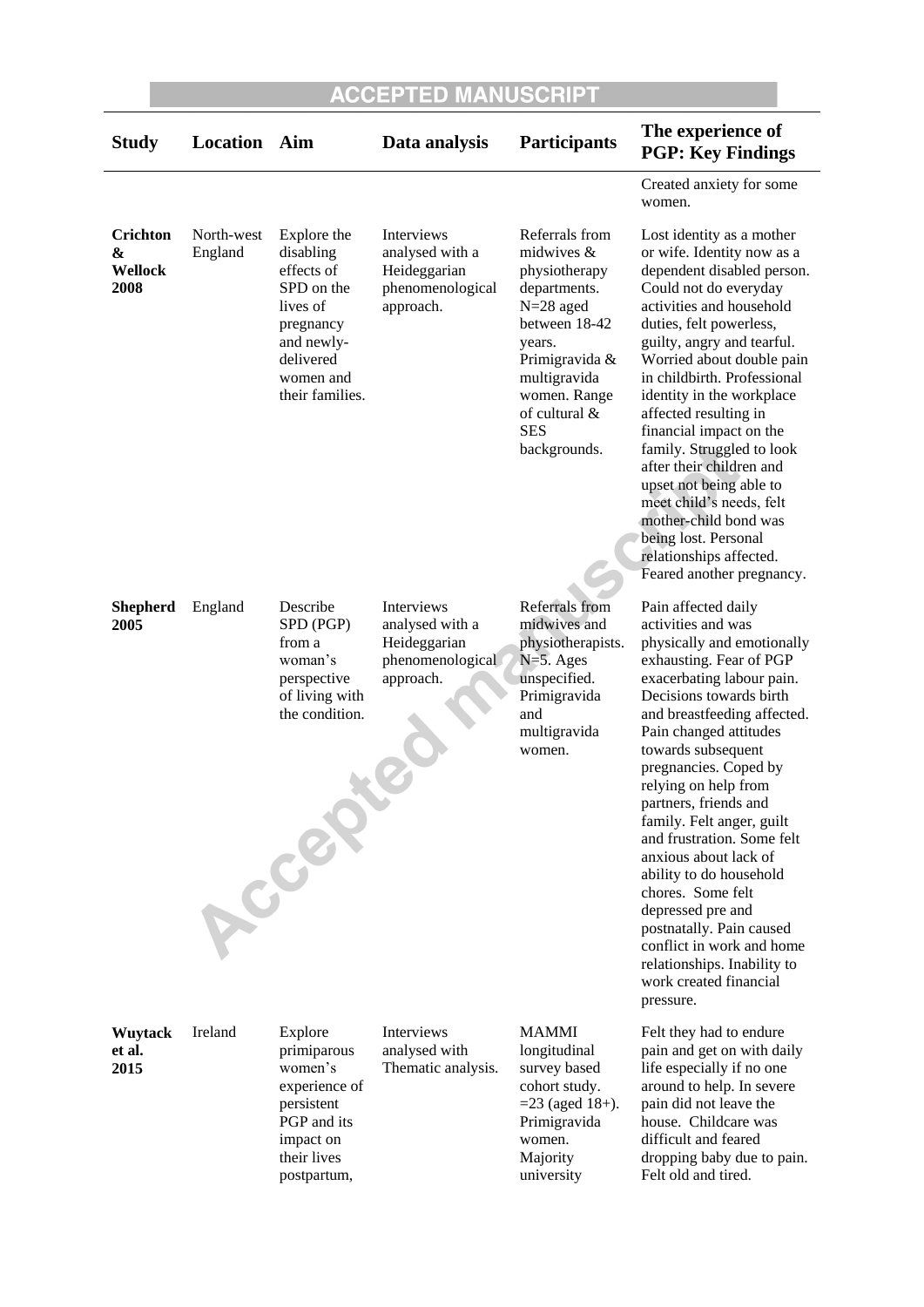| <b>Study</b>                     | Location              | Aim                                                                                                                                      | Data analysis                                                                  | <b>Participants</b>                                                                                                                                                                                        | The experience of<br><b>PGP: Key Findings</b>                                                                                                                                                                                                                                                                                                                                                                                                                                                                                                                                                               |
|----------------------------------|-----------------------|------------------------------------------------------------------------------------------------------------------------------------------|--------------------------------------------------------------------------------|------------------------------------------------------------------------------------------------------------------------------------------------------------------------------------------------------------|-------------------------------------------------------------------------------------------------------------------------------------------------------------------------------------------------------------------------------------------------------------------------------------------------------------------------------------------------------------------------------------------------------------------------------------------------------------------------------------------------------------------------------------------------------------------------------------------------------------|
|                                  |                       |                                                                                                                                          |                                                                                |                                                                                                                                                                                                            | Created anxiety for some<br>women.                                                                                                                                                                                                                                                                                                                                                                                                                                                                                                                                                                          |
| Crichton<br>&<br>Wellock<br>2008 | North-west<br>England | Explore the<br>disabling<br>effects of<br>SPD on the<br>lives of<br>pregnancy<br>and newly-<br>delivered<br>women and<br>their families. | Interviews<br>analysed with a<br>Heideggarian<br>phenomenological<br>approach. | Referrals from<br>midwives $&$<br>physiotherapy<br>departments.<br>$N=28$ aged<br>between 18-42<br>years.<br>Primigravida &<br>multigravida<br>women. Range<br>of cultural &<br><b>SES</b><br>backgrounds. | Lost identity as a mother<br>or wife. Identity now as a<br>dependent disabled person.<br>Could not do everyday<br>activities and household<br>duties, felt powerless,<br>guilty, angry and tearful.<br>Worried about double pain<br>in childbirth. Professional<br>identity in the workplace<br>affected resulting in<br>financial impact on the<br>family. Struggled to look<br>after their children and<br>upset not being able to<br>meet child's needs, felt<br>mother-child bond was<br>being lost. Personal<br>relationships affected.<br>Feared another pregnancy.                                   |
| <b>Shepherd</b><br>2005          | England               | Describe<br>SPD (PGP)<br>from a<br>woman's<br>perspective<br>of living with<br>the condition.<br>Accept                                  | Interviews<br>analysed with a<br>Heideggarian<br>phenomenological<br>approach. | Referrals from<br>midwives and<br>physiotherapists.<br>$N=5.$ Ages<br>unspecified.<br>Primigravida<br>and<br>multigravida<br>women.                                                                        | Pain affected daily<br>activities and was<br>physically and emotionally<br>exhausting. Fear of PGP<br>exacerbating labour pain.<br>Decisions towards birth<br>and breastfeeding affected.<br>Pain changed attitudes<br>towards subsequent<br>pregnancies. Coped by<br>relying on help from<br>partners, friends and<br>family. Felt anger, guilt<br>and frustration. Some felt<br>anxious about lack of<br>ability to do household<br>chores. Some felt<br>depressed pre and<br>postnatally. Pain caused<br>conflict in work and home<br>relationships. Inability to<br>work created financial<br>pressure. |
| <b>Wuytack</b><br>et al.<br>2015 | Ireland               | Explore<br>primiparous<br>women's<br>experience of<br>persistent<br>PGP and its<br>impact on<br>their lives<br>postpartum,               | Interviews<br>analysed with<br>Thematic analysis.                              | <b>MAMMI</b><br>longitudinal<br>survey based<br>cohort study.<br>$=$ 23 (aged 18+).<br>Primigravida<br>women.<br>Majority<br>university                                                                    | Felt they had to endure<br>pain and get on with daily<br>life especially if no one<br>around to help. In severe<br>pain did not leave the<br>house. Childcare was<br>difficult and feared<br>dropping baby due to pain.<br>Felt old and tired.                                                                                                                                                                                                                                                                                                                                                              |